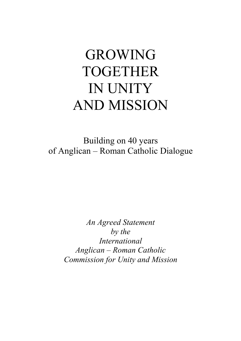# GROWING TOGETHER IN UNITY AND MISSION

Building on 40 years of Anglican – Roman Catholic Dialogue

> *An Agreed Statement by the International Anglican – Roman Catholic Commission for Unity and Mission*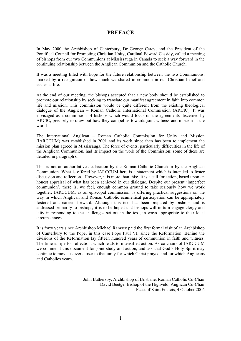## **PREFACE**

In May 2000 the Archbishop of Canterbury, Dr George Carey, and the President of the Pontifical Council for Promoting Christian Unity, Cardinal Edward Cassidy, called a meeting of bishops from our two Communions at Mississauga in Canada to seek a way forward in the continuing relationship between the Anglican Communion and the Catholic Church.

It was a meeting filled with hope for the future relationship between the two Communions, marked by a recognition of how much we shared in common in our Christian belief and ecclesial life.

At the end of our meeting, the bishops accepted that a new body should be established to promote our relationship by seeking to translate our manifest agreement in faith into common life and mission. This commission would be quite different from the existing theological dialogue of the Anglican – Roman Catholic International Commission (ARCIC). It was envisaged as a commission of bishops which would focus on the agreements discerned by ARCIC, precisely to draw out how they compel us towards joint witness and mission in the world.

The International Anglican – Roman Catholic Commission for Unity and Mission (IARCCUM) was established in 2001 and its work since then has been to implement the mission plan agreed in Mississauga. The force of events, particularly difficulties in the life of the Anglican Communion, had its impact on the work of the Commission: some of these are detailed in paragraph 6.

This is not an authoritative declaration by the Roman Catholic Church or by the Anglican Communion. What is offered by IARCCUM here is a statement which is intended to foster discussion and reflection. However, it is more than this: it is a call for action, based upon an honest appraisal of what has been achieved in our dialogue. Despite our present 'imperfect communion', there is, we feel, enough common ground to take seriously how we work together. IARCCUM, as an episcopal commission, is offering practical suggestions on the way in which Anglican and Roman Catholic ecumenical participation can be appropriately fostered and carried forward. Although this text has been prepared by bishops and is addressed primarily to bishops, it is to be hoped that bishops will in turn engage clergy and laity in responding to the challenges set out in the text, in ways appropriate to their local circumstances.

It is forty years since Archbishop Michael Ramsey paid the first formal visit of an Archbishop of Canterbury to the Pope, in this case Pope Paul VI, since the Reformation. Behind the divisions of the Reformation lay fifteen hundred years of communion in faith and witness. The time is ripe for reflection, which leads to intensified action. As co-chairs of IARCCUM we commend this document for joint study and action, and ask that God's Holy Spirit may continue to move us ever closer to that unity for which Christ prayed and for which Anglicans and Catholics yearn.

> +John Bathersby, Archbishop of Brisbane, Roman Catholic Co-Chair +David Beetge, Bishop of the Highveld, Anglican Co-Chair Feast of Saint Francis, 4 October 2006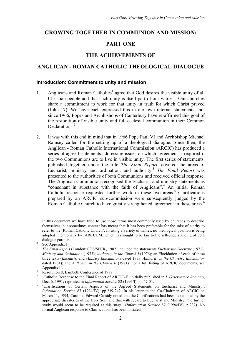## **GROWING TOGETHER IN COMMUNION AND MISSION:**

## **PART ONE**

## **THE ACHIEVEMENTS OF**

## **ANGLICAN - ROMAN CATHOLIC THEOLOGICAL DIALOGUE**

#### **Introduction: Commitment to unity and mission**

- 1. Anglicans and Roman Catholics<sup>1</sup> agree that God desires the visible unity of all Christian people and that such unity is itself part of our witness. Our churches share a commitment to work for that unity in truth for which Christ prayed (John 17). We have each expressed this in our own internal statements and, since 1966, Popes and Archbishops of Canterbury have re-affirmed this goal of the restoration of visible unity and full ecclesial communion in their Common Declarations. 2
- 2. It was with this end in mind that in 1966 Pope Paul VI and Archbishop Michael Ramsey called for the setting up of a theological dialogue. Since then, the Anglican - Roman Catholic International Commission (ARCIC) has produced a series of agreed statements addressing issues on which agreement is required if the two Communions are to live in visible unity. The first series of statements, published together under the title *The Final Report*, covered the areas of Eucharist, ministry and ordination, and authority. <sup>3</sup> *The Final Report* was presented to the authorities of both Communions and received official response. The Anglican Communion recognised the Eucharist and ministry statements as "consonant in substance with the faith of Anglicans".<sup>4</sup> An initial Roman Catholic response requested further work in these two areas.<sup>5</sup> Clarifications prepared by an ARCIC sub-commission were subsequently judged by the Roman Catholic Church to have greatly strengthened agreement in these areas.<sup>6</sup>

<sup>1</sup> In this document we have tried to use those terms most commonly used by churches to describe themselves, but sometimes context has meant that it has been preferable for the sake of clarity to refer to the 'Roman Catholic Church'. In using a variety of names, no theological position is being adopted intentionally by IARCCUM, which has sought to be fair to the self-understanding of both

dialogue partners.<br><sup>2</sup> See Appendix I.<br><sup>3</sup> *The Final Report* (London: CTS/SPCK, 1982) included the statements *Eucharistic Doctrine* (1971); *Ministry and Ordination* (1973); *Authority in the Church I* (1976); an Elucidation of each of these three texts (*Eucharist* and *Ministry Elucidations* dated 1979, *Authority in the Church I Elucidation* dated 1981); and *Authority in the Church II* (1981). For a full listing of ARCIC documents, see

Appendix II.<br>
<sup>4</sup> Resolution 8, Lambeth Conference of 1988.<br>
<sup>5</sup> 'Catholic Response to the Final Report of ARCIC-I', initially published in *L'Osservatore Romano*,<br>
Dec. 6, 1991; reprinted in *Information Service* 82 (1993

<sup>&</sup>lt;sup>6</sup> 'Clarifications of Certain Aspects of the Agreed Statements on Eucharist and Ministry', *Information Service* 87 (1994/IV), pp.239-242. In his letter to the Co-Chairmen of ARCIC on March 11, 1994, Cardinal Edward Cassidy noted that the Clarifications had been "examined by the appropriate dicasteries of the Holy See" and that with regard to Eucharist and Ministry, "no further study would seem to be required at this stage" (*Information Service* 87 [1994/IV], p.237). No formal Anglican response to Clarifications has been initiated.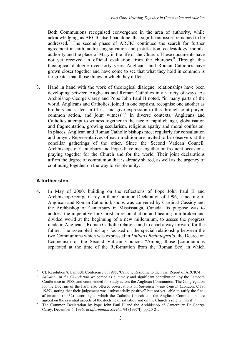Both Communions recognised convergence in the area of authority, while acknowledging, as ARCIC itself had done, that significant issues remained to be addressed.<sup> $\bar{7}$ </sup> The second phase of ARCIC continued the search for further agreement in faith, addressing salvation and justification, ecclesiology, morals, authority and the place of Mary in the life of the Church. These documents have not yet received an official evaluation from the churches. <sup>8</sup> Through this theological dialogue over forty years Anglicans and Roman Catholics have grown closer together and have come to see that what they hold in common is far greater than those things in which they differ.

3. Hand in hand with the work of theological dialogue, relationships have been developing between Anglicans and Roman Catholics in a variety of ways. As Archbishop George Carey and Pope John Paul II noted, "in many parts of the world, Anglicans and Catholics, joined in one baptism, recognise one another as brothers and sisters in Christ and give expression to this through joint prayer, common action, and joint witness". <sup>9</sup> In diverse contexts, Anglicans and Catholics attempt to witness together in the face of rapid change, globalisation and fragmentation, growing secularism, religious apathy and moral confusion. In places, Anglican and Roman Catholic bishops meet regularly for consultation and prayer. Representatives of each tradition are invited to be observers at the conciliar gatherings of the other. Since the Second Vatican Council, Archbishops of Canterbury and Popes have met together on frequent occasions, praying together for the Church and for the world. Their joint declarations affirm the degree of communion that is already shared, as well as the urgency of continuing together on the way to visible unity.

## **A further step**

 $\overline{a}$ 

4. In May of 2000, building on the reflections of Pope John Paul II and Archbishop George Carey in their Common Declaration of 1996, a meeting of Anglican and Roman Catholic bishops was convened by Cardinal Cassidy and the Archbishop of Canterbury in Mississauga, Canada. Its purpose was to address the imperative for Christian reconciliation and healing in a broken and divided world at the beginning of a new millennium, to assess the progress made in Anglican - Roman Catholic relations and to chart a way forward for the future. The assembled bishops focused on the special relationship between the two Communions which was expressed in *Unitatis Redintegratio*, the Decree on Ecumenism of the Second Vatican Council: "Among those [communions separated at the time of the Reformation from the Roman See] in which

<sup>&</sup>lt;sup>7</sup> Cf. Resolution 8, Lambeth Conference of 1988; 'Catholic Response to the Final Report of ARCIC-I'.<br><sup>8</sup> Salvation in the Church was welcomed as a "timely and significant contribution" by the Lambeth

Conference in 1988, and commended for study across the Anglican Communion. The Congregation for the Doctrine of the Faith also offered observations on *Salvation in the Church* (London: CTS, 1989), noting that their judgement was "substantially positive" but not yet "able to ratify the final affirmation (no.32) according to which the Catholic Church and the Anglican Communion 'are

agreed on the essential aspects of the doctrine of salvation and on the Church's role within it'."<br>The Common Declaration by Pope John Paul II and the Archbishop of Canterbury Dr George Carey, December 5, 1996, in *Information Service* 94 (1997/I), pp.20-21.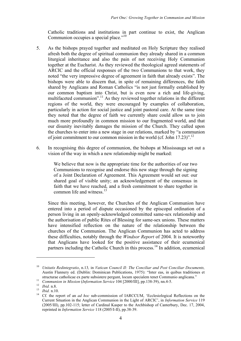Catholic traditions and institutions in part continue to exist, the Anglican Communion occupies a special place."<sup>10</sup>

- 5. As the bishops prayed together and meditated on Holy Scripture they realised afresh both the degree of spiritual communion they already shared in a common liturgical inheritance and also the pain of not receiving Holy Communion together at the Eucharist. As they reviewed the theological agreed statements of ARCIC and the official responses of the two Communions to that work, they noted "the very impressive degree of agreement in faith that already exists". The bishops were able to discern that, in spite of remaining differences, the faith shared by Anglicans and Roman Catholics "is not just formally established by our common baptism into Christ, but is even now a rich and life-giving, multifaceted communion".<sup>11</sup> As they reviewed together relations in the different regions of the world, they were encouraged by examples of collaboration, particularly in action for social justice and joint pastoral care. At the same time they noted that the degree of faith we currently share could allow us to join much more profoundly in common mission to our fragmented world, and that our disunity inevitably damages the mission of the Church. They called upon the churches to enter into a new stage in our relations, marked by "a communion of joint commitment to our common mission in the world (cf. John 17.23)".<sup>12</sup>
- 6. In recognising this degree of communion, the bishops at Mississauga set out a vision of the way in which a new relationship might be marked:

We believe that now is the appropriate time for the authorities of our two Communions to recognise and endorse this new stage through the signing of a Joint Declaration of Agreement. This Agreement would set out: our shared goal of visible unity; an acknowledgement of the consensus in faith that we have reached, and a fresh commitment to share together in common life and witness.<sup>13</sup>

Since this meeting, however, the Churches of the Anglican Communion have entered into a period of dispute occasioned by the episcopal ordination of a person living in an openly-acknowledged committed same-sex relationship and the authorisation of public Rites of Blessing for same-sex unions. These matters have intensified reflection on the nature of the relationship between the churches of the Communion. The Anglican Communion has acted to address these difficulties, notably through the *Windsor Report* of 2004. It is noteworthy that Anglicans have looked for the positive assistance of their ecumenical partners including the Catholic Church in this process.<sup>14</sup> In addition, ecumenical

<sup>10</sup> *Unitatis Redintegratio*, n.13*,* in *Vatican Council II: The Conciliar and Post Conciliar Documents,* Austin Flannery ed. (Dublin: Dominican Publications, 1975): "Inter eas, in quibus traditiones et

structurae catholicae ex parte subsistere pergunt, locum specialem tenet Communio anglicana."<br>
<sup>11</sup> Communion in Mission (Information Service 104 [2000/III], pp.138-39), nn.4-5.<br>
<sup>12</sup> Ibid. n.8.<br>
<sup>13</sup> Ibid. n.10.<br>
<sup>14</sup> Cf. Current Situation in the Anglican Communion in the Light of ARCIC', in *Information Service* 119 (2005/III), pp.102-115; letter of Cardinal Kasper to the Archbishop of Canterbury, Dec. 17, 2004, reprinted in *Information Service* 118 (2005/I-II), pp.38-39.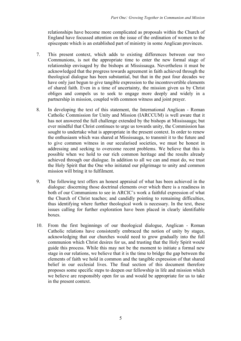relationships have become more complicated as proposals within the Church of England have focussed attention on the issue of the ordination of women to the episcopate which is an established part of ministry in some Anglican provinces.

- 7. This present context, which adds to existing differences between our two Communions, is not the appropriate time to enter the new formal stage of relationship envisaged by the bishops at Mississauga. Nevertheless it must be acknowledged that the progress towards agreement in faith achieved through the theological dialogue has been substantial, but that in the past four decades we have only just begun to give tangible expression to the incontrovertible elements of shared faith. Even in a time of uncertainty, the mission given us by Christ obliges and compels us to seek to engage more deeply and widely in a partnership in mission, coupled with common witness and joint prayer.
- 8. In developing the text of this statement, the International Anglican Roman Catholic Commission for Unity and Mission (IARCCUM) is well aware that it has not answered the full challenge extended by the bishops at Mississauga; but ever mindful that Christ continues to urge us towards unity, the Commission has sought to undertake what is appropriate in the present context. In order to renew the enthusiasm which was shared at Mississauga, to transmit it to the future and to give common witness in our secularised societies, we must be honest in addressing and seeking to overcome recent problems. We believe that this is possible when we hold to our rich common heritage and the results already achieved through our dialogue. In addition to all we can and must do, we trust the Holy Spirit that the One who initiated our pilgrimage to unity and common mission will bring it to fulfilment.
- 9. The following text offers an honest appraisal of what has been achieved in the dialogue: discerning those doctrinal elements over which there is a readiness in both of our Communions to see in ARCIC's work a faithful expression of what the Church of Christ teaches; and candidly pointing to remaining difficulties, thus identifying where further theological work is necessary. In the text, these issues calling for further exploration have been placed in clearly identifiable boxes.
- 10. From the first beginnings of our theological dialogue, Anglican Roman Catholic relations have consistently embraced the notion of unity by stages, acknowledging that our churches would need to grow gradually into the full communion which Christ desires for us, and trusting that the Holy Spirit would guide this process. While this may not be the moment to initiate a formal new stage in our relations, we believe that it is the time to bridge the gap between the elements of faith we hold in common and the tangible expression of that shared belief in our ecclesial lives. The final section of this document therefore proposes some specific steps to deepen our fellowship in life and mission which we believe are responsibly open for us and would be appropriate for us to take in the present context.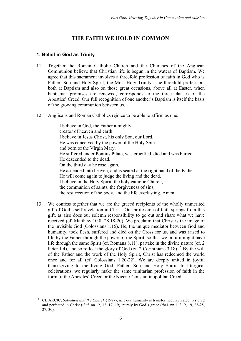# **THE FAITH WE HOLD IN COMMON**

## **1. Belief in God as Trinity**

 $\overline{a}$ 

- 11. Together the Roman Catholic Church and the Churches of the Anglican Communion believe that Christian life is begun in the waters of Baptism. We agree that this sacrament involves a threefold profession of faith in God who is Father, Son and Holy Spirit, the Most Holy Trinity. The threefold profession, both at Baptism and also on those great occasions, above all at Easter, when baptismal promises are renewed, corresponds to the three clauses of the Apostles' Creed. Our full recognition of one another's Baptism is itself the basis of the growing communion between us.
- 12. Anglicans and Roman Catholics rejoice to be able to affirm as one:

I believe in God, the Father almighty, creator of heaven and earth. I believe in Jesus Christ, his only Son, our Lord. He was conceived by the power of the Holy Spirit and born of the Virgin Mary. He suffered under Pontius Pilate, was crucified, died and was buried. He descended to the dead. On the third day he rose again. He ascended into heaven, and is seated at the right hand of the Father. He will come again to judge the living and the dead. I believe in the Holy Spirit, the holy catholic Church, the communion of saints, the forgiveness of sins, the resurrection of the body, and the life everlasting. Amen.

13. We confess together that we are the graced recipients of the wholly unmerited gift of God's self-revelation in Christ. Our profession of faith springs from this gift, as also does our solemn responsibility to go out and share what we have received (cf. Matthew 10.8; 28.18-20). We proclaim that Christ is the image of the invisible God (Colossians 1.15). He, the unique mediator between God and humanity, took flesh, suffered and died on the Cross for us, and was raised to life by the Father through the power of the Spirit, so that we in turn might have life through the same Spirit (cf. Romans 8.11), partake in the divine nature (cf. 2 Peter 1.4), and so reflect the glory of God (cf. 2 Corinthians 3.18).<sup>15</sup> By the will of the Father and the work of the Holy Spirit, Christ has redeemed the world once and for all (cf. Colossians 1.20-22). We are deeply united in joyful thanksgiving to the living God, Father, Son and Holy Spirit. In liturgical celebrations, we regularly make the same trinitarian profession of faith in the form of the Apostles' Creed or the Nicene-Constantinopolitan Creed.

<sup>15</sup> Cf*.* ARCIC, *Salvation and the Church* (1987), n.1; our humanity is transformed, recreated, restored and perfected in Christ (*ibid.* nn.12, 13, 17, 19), purely by God's grace (*ibid.* nn.1, 3, 9, 19, 23-25, 27, 30).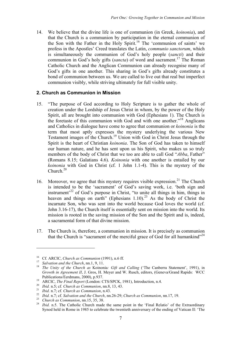14. We believe that the divine life is one of communion (in Greek, *koinonia*), and that the Church is a communion by participation in the eternal communion of the Son with the Father in the Holy Spirit. <sup>16</sup> The 'communion of saints' we profess in the Apostles' Creed translates the Latin, *communio sanctorum*, which is simultaneously the communion of God's holy people (*sancti*) and their communion in God's holy gifts (*sancta*) of word and sacrament. <sup>17</sup> The Roman Catholic Church and the Anglican Communion can already recognise many of God's gifts in one another. This sharing in God's gifts already constitutes a bond of communion between us. We are called to live out that real but imperfect communion visibly, while striving ultimately for full visible unity.

## **2. Church as Communion in Mission**

- 15. "The purpose of God according to Holy Scripture is to gather the whole of creation under the Lordship of Jesus Christ in whom, by the power of the Holy Spirit, all are brought into communion with God (Ephesians 1). The Church is the foretaste of this communion with God and with one another."<sup>18</sup> Anglicans and Catholics in dialogue have come to agree that communion or *koinonia* is the term that most aptly expresses the mystery underlying the various New Testament images of the Church.19 Union with God in Christ Jesus through the Spirit is the heart of Christian *koinonia*. The Son of God has taken to himself our human nature, and he has sent upon us his Spirit, who makes us so truly members of the body of Christ that we too are able to call God "*Abba*, Father" (Romans 8.15; Galatians 4.6). *Koinonia* with one another is entailed by our *koinonia* with God in Christ (cf. 1 John 1.1-4). This is the mystery of the Church.<sup>20</sup>
- 16. Moreover, we agree that this mystery requires visible expression.<sup>21</sup> The Church is intended to be the 'sacrament' of God's saving work, i.e. 'both sign and instrument<sup>22</sup> of God's purpose in Christ, "to unite all things in him, things in heaven and things on earth" (Ephesians 1.10). <sup>23</sup> As the body of Christ the incarnate Son, who was sent into the world because God loves the world (cf. John 3.16-17), the Church itself is essentially sent on mission into the world. Its mission is rooted in the saving mission of the Son and the Spirit and is, indeed, a sacramental form of that divine mission.
- 17. The Church is, therefore, a communion in mission. It is precisely as communion that the Church is "sacrament of the merciful grace of God for all humankind"<sup>24</sup>

<sup>&</sup>lt;sup>16</sup> Cf. ARCIC, *Church as Communion* (1991), n.6 ff.<br><sup>17</sup> Salvation and the Church, nn.1, 9, 11.<br><sup>18</sup> The Unity of the Church as Koinonia: *Gift and Calling* ('The Canberra Statement', 1991), in *Growth in Agreement II*, J. Gros, H. Meyer and W. Rusch, editors, (Geneva/Grand Rapids: WCC Publications/Eerdmans, 2000), p.937.<br>
<sup>19</sup> ARCIC, *The Final Report* (London: CTS/SPCK, 1981), Introduction, n.4.<br>
<sup>20</sup> *Ibid.* n.5; cf. *Church as Communion*, nn.8, 13, 43.<br>
<sup>21</sup> *Ibid.* n.7; cf. *Church as Communion*, n

Synod held in Rome in 1985 to celebrate the twentieth anniversary of the ending of Vatican II: 'The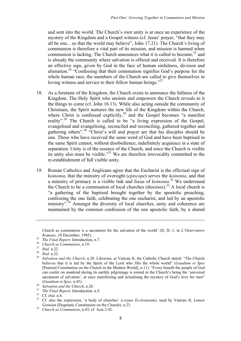and sent into the world. The Church's own unity is at once an experience of the mystery of the Kingdom and a Gospel witness (cf. Jesus' prayer, "that they may all be one... so that the world may believe", John 17.21). The Church's living of communion is therefore a vital part of its mission, and mission is harmed when communion is lacking. The Church announces what it is called to become, <sup>25</sup> and is already the community where salvation is offered and received. It is therefore an effective sign, given by God in the face of human sinfulness, division and alienation.26 "Confessing that their communion signifies God's purpose for the whole human race, the members of the Church are called to give themselves in loving witness and service to their fellow human beings."<sup>27</sup>

- 18. As a foretaste of the Kingdom, the Church exists to announce the fullness of the Kingdom. The Holy Spirit who anoints and empowers the Church reveals to it the things to come (cf. John 16.13). While also acting outside the community of Christians, the Spirit nurtures the new life of the Kingdom within the Church, where Christ is confessed explicitly,<sup>28</sup> and the Gospel becomes "a manifest reality".<sup>29</sup> The Church is called to be "a living expression of the Gospel, evangelised and evangelising, reconciled and reconciling, gathered together and gathering others". <sup>30</sup> "Christ's will and prayer are that his disciples should be one. Those who have received the same word of God and have been baptised in the same Spirit cannot, without disobedience, indefinitely acquiesce in a state of separation. Unity is of the essence of the Church, and since the Church is visible its unity also must be visible."31 We are therefore irrevocably committed to the re-establishment of full visible unity.
- 19. Roman Catholics and Anglicans agree that the Eucharist is the effectual sign of *koinonia*, that the ministry of oversight (*episcope*) serves the *koinonia*, and that a ministry of primacy is a visible link and focus of *koinonia*. <sup>32</sup> We understand the Church to be a communion of local churches (dioceses).<sup>33</sup> A local church is "a gathering of the baptised brought together by the apostolic preaching, confessing the one faith, celebrating the one eucharist, and led by an apostolic ministry".<sup>34</sup> Amongst the diversity of local churches, unity and coherence are maintained by the common confession of the one apostolic faith, by a shared

Church as communion is a sacrament for the salvation of the world' (II, D, 1; in *L'Osservatore*

Romano, 10 December, 1985).<br>
<sup>25</sup> The Final Report, Introduction, n.7.<br>
<sup>26</sup> Church as Communion, n.19.<br>
<sup>27</sup> Ibid. n.22.<br>
<sup>28</sup> Ibid. n.22.<br>
<sup>28</sup> Salvation and the Church, n.28. Likewise, at Vatican II, the Catholic Churc believes that it is led by the Spirit of the Lord who fills the whole world" (*Gaudium et Spes* [Pastoral Constitution on the Church in the Modern World], n.11). "Every benefit the people of God can confer on mankind during its earthly pilgrimage is rooted in the Church's being the 'universal sacrament of salvation', at once manifesting and actualising the mystery of God's love for men"

<sup>(</sup>Gaudium et Spes, n.45).<br>
<sup>30</sup> Salvation and the Church, n.28.<br>
<sup>31</sup> The Final Report, Introduction, n.9.<br>
<sup>32</sup> Cf. *ibid.* n.6.<br>
<sup>33</sup> Cf. also the expression, 'a body of churches' (*corpus Ecclesiarum*), used by Vatican *Gentium* (Dogmatic Constitution on the Church), n.23. <sup>34</sup> *Church as Communion*, n.43; cf*.* Acts 2.42.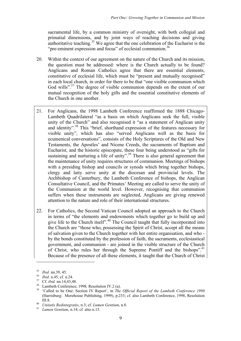sacramental life, by a common ministry of oversight, with both collegial and primatial dimensions, and by joint ways of reaching decisions and giving authoritative teaching.<sup>35</sup> We agree that the one celebration of the Eucharist is the "pre-eminent expression and focus" of ecclesial communion.<sup>36</sup>

- 20. Within the context of our agreement on the nature of the Church and its mission, the question must be addressed: where is the Church actually to be found? Anglicans and Roman Catholics agree that there are essential elements, constitutive of ecclesial life, which must be "present and mutually recognised" in each local church, in order for there to be that "one visible communion which God wills".<sup>37</sup> The degree of visible communion depends on the extent of our mutual recognition of the holy gifts and the essential constitutive elements of the Church in one another.
- 21. For Anglicans, the 1998 Lambeth Conference reaffirmed the 1888 Chicago-Lambeth Quadrilateral "as a basis on which Anglicans seek the full, visible unity of the Church" and also recognised it "as a statement of Anglican unity and identity". <sup>38</sup> This "brief, shorthand expression of the features necessary for visible unity", which has also "served Anglicans well as the basis for ecumenical conversations", consists of the Holy Scriptures of the Old and New Testaments, the Apostles' and Nicene Creeds, the sacraments of Baptism and Eucharist, and the historic episcopate, these four being understood as "gifts for sustaining and nurturing a life of unity".<sup>39</sup> There is also general agreement that the maintenance of unity requires structures of communion. Meetings of bishops with a presiding bishop and councils or synods which bring together bishops, clergy and laity serve unity at the diocesan and provincial levels. The Archbishop of Canterbury, the Lambeth Conference of bishops, the Anglican Consultative Council, and the Primates' Meeting are called to serve the unity of the Communion at the world level. However, recognising that communion suffers when these instruments are neglected, Anglicans are giving renewed attention to the nature and role of their international structures.
- 22. For Catholics, the Second Vatican Council adopted an approach to the Church in terms of "the elements and endowments which together go to build up and give life to the Church itself". <sup>40</sup> The Council taught that fully incorporated into the Church are "those who, possessing the Spirit of Christ, accept all the means of salvation given to the Church together with her entire organisation, and who by the bonds constituted by the profession of faith, the sacraments, ecclesiastical government, and communion - are joined in the visible structure of the Church of Christ, who rules her through the Supreme Pontiff and the bishops".<sup>41</sup> Because of the presence of all these elements, it taught that the Church of Christ

<sup>&</sup>lt;sup>35</sup> *Ibid.* nn.39, 45.<br><sup>36</sup> *Ibid.* nn.45, cf. n.24.<br><sup>37</sup> Cf. *ibid.* nn.14,43,48.<br><sup>38</sup> Lambeth Conference, 1998, Resolution IV.2 (a).<br><sup>39</sup> 'Called to be One: Section IV Report', in *The Official Report of the Lambeth Co* (Harrisburg: Morehouse Publishing, 1999), p.233; cf*.* also Lambeth Conference, 1998, Resolution III.8. <sup>40</sup> *Unitatis Redintegratio*, n.3; cf*. Lumen Gentium*, n.8. <sup>41</sup> *Lumen Gentium*, n.14; cf*.* also n.15.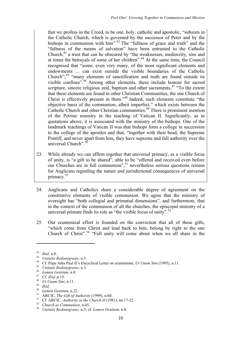that we profess in the Creed, to be one, holy, catholic and apostolic, "subsists in the Catholic Church, which is governed by the successor of Peter and by the bishops in communion with him".<sup>42</sup> The "fullness of grace and truth" and the "fullness of the means of salvation" have been entrusted to the Catholic Church,43 a trust that can be obscured by "the weaknesses, mediocrity, sins and at times the betrayals of some of her children". <sup>44</sup> At the same time, the Council recognised that "some, even very many, of the most significant elements and endowments ... can exist outside the visible boundaries of the Catholic Church";<sup>45</sup> "many elements of sanctification and truth are found outside its visible confines".<sup>46</sup> Among other elements, these include honour for sacred scripture, sincere religious zeal, baptism and other sacraments.<sup>47</sup> "To the extent that these elements are found in other Christian Communities, the one Church of Christ is effectively present in them."48 Indeed, such elements constitute "the objective basis of the communion, albeit imperfect," which exists between the Catholic Church and other Christian communities. 49 There is prominent mention of the Petrine ministry in the teaching of Vatican II. Significantly, as in quotations above, it is associated with the ministry of the bishops. One of the landmark teachings of Vatican II was that bishops form a college in succession to the college of the apostles and that, "together with their head, the Supreme Pontiff, and never apart from him, they have supreme and full authority over the universal Church".<sup>50</sup>

- 23. While already we can affirm together that universal primacy, as a visible focus of unity, is "a gift to be shared", able to be "offered and received even before our Churches are in full communion", <sup>51</sup> nevertheless serious questions remain for Anglicans regarding the nature and jurisdictional consequences of universal primacy. 52
- 24. Anglicans and Catholics share a considerable degree of agreement on the constitutive elements of visible communion. We agree that the ministry of oversight has "both collegial and primatial dimensions", and furthermore, that in the context of the communion of all the churches, the episcopal ministry of a universal primate finds its role as "the visible focus of unity".<sup>53</sup>
- 25. Our ecumenical effort is founded on the conviction that all of these gifts, "which come from Christ and lead back to him, belong by right to the one Church of Christ". <sup>54</sup> "Full unity will come about when we all share in the

<sup>&</sup>lt;sup>42</sup> *Ibid.* n.8.<br>
<sup>43</sup> *Unitatis Redintegratio*, n.3.<br>
<sup>44</sup> Cf. Pope John Paul II's Encyclical Letter on ecumenism, *Ut Unum Sint* (1995), n.11.<br>
<sup>45</sup> *Unitatis Redintegratio*, n.3.<br>
<sup>47</sup> *Cf. Ibid.*,n.15.<br>
<sup>47</sup> *Unum Si*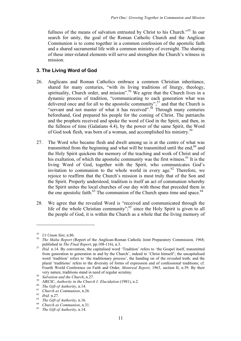fullness of the means of salvation entrusted by Christ to his Church."<sup>55</sup> In our search for unity, the goal of the Roman Catholic Church and the Anglican Communion is to come together in a common confession of the apostolic faith and a shared sacramental life with a common ministry of oversight. The sharing of these inter-related elements will serve and strengthen the Church's witness in mission.

## **3. The Living Word of God**

- 26. Anglicans and Roman Catholics embrace a common Christian inheritance, shared for many centuries, "with its living traditions of liturgy, theology, spirituality, Church order, and mission".<sup>56</sup> We agree that the Church lives in a dynamic process of tradition, "communicating to each generation what was delivered once and for all to the apostolic community",<sup>57</sup> and that the Church is "servant and not master of what it has received".<sup>58</sup> Through many centuries beforehand, God prepared his people for the coming of Christ. The patriarchs and the prophets received and spoke the word of God in the Spirit, and then, in the fullness of time (Galatians 4.4), by the power of the same Spirit, the Word of God took flesh, was born of a woman, and accomplished his ministry.<sup>59</sup>
- 27. The Word who became flesh and dwelt among us is at the centre of what was transmitted from the beginning and what will be transmitted until the end, $60$  and the Holy Spirit quickens the memory of the teaching and work of Christ and of his exaltation, of which the apostolic community was the first witness.<sup>61</sup> It is the living Word of God, together with the Spirit, who communicates God's invitation to communion to the whole world in every age. <sup>62</sup> Therefore, we rejoice to reaffirm that the Church's mission is most truly that of the Son and the Spirit. Properly understood, tradition is itself an act of communion whereby the Spirit unites the local churches of our day with those that preceded them in the one apostolic faith. $^{63}$  The communion of the Church spans time and space. $^{64}$
- 28. We agree that the revealed Word is "received and communicated through the life of the whole Christian community";<sup>65</sup> since the Holy Spirit is given to all the people of God, it is within the Church as a whole that the living memory of

<sup>55</sup> *Ut Unum Sint*, n.86. <sup>56</sup> *The Malta Report* (Report of the Anglican-Roman Catholic Joint Preparatory Commission*,* 1968;

published in *The Final Report*, pp.108-116), n.3. <sup>57</sup> *Ibid.* n.14. By convention, the capitalised word 'Tradition' refers to 'the Gospel itself, transmitted from generation to generation in and by the Church', indeed to 'Christ himself'; the uncapitalised word 'tradition' refers to 'the traditionary process', the handing on of the revealed truth; and the plural 'traditions' refers to the diversity of forms of expression and of confessional traditions; cf*.* Fourth World Conference on Faith and Order, *Montreal Report*, 1963, section II, n.39. By their

very nature, traditions stand in need of regular scrutiny.<br>
<sup>58</sup> Salvation and the Church, n.27.<br>
<sup>59</sup> ARCIC, Authority in the Church I: Elucidation (1981), n.2.<br>
<sup>60</sup> The Gift of Authority, n.14.<br>
<sup>61</sup> Church as Communio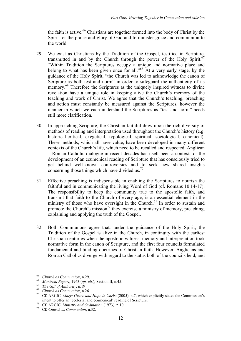the faith is active.<sup>66</sup> Christians are together formed into the body of Christ by the Spirit for the praise and glory of God and to minister grace and communion to the world.

- 29. We exist as Christians by the Tradition of the Gospel, testified in Scripture, transmitted in and by the Church through the power of the Holy Spirit.<sup>67</sup> "Within Tradition the Scriptures occupy a unique and normative place and belong to what has been given once for all."<sup>68</sup> At a very early stage, by the guidance of the Holy Spirit, "the Church was led to acknowledge the canon of Scripture as both test and norm" in order to safeguard the authenticity of its memory.<sup>69</sup> Therefore the Scriptures as the uniquely inspired witness to divine revelation have a unique role in keeping alive the Church's memory of the teaching and work of Christ. We agree that the Church's teaching, preaching and action must constantly be measured against the Scriptures; however the manner in which we each understand the Scriptures as "test and norm" needs still more clarification.
- 30. In approaching Scripture, the Christian faithful draw upon the rich diversity of methods of reading and interpretation used throughout the Church's history (e.g. historical-critical, exegetical, typological, spiritual, sociological, canonical). These methods, which all have value, have been developed in many different contexts of the Church's life, which need to be recalled and respected. Anglican – Roman Catholic dialogue in recent decades has itself been a context for the development of an ecumenical reading of Scripture that has consciously tried to get behind well-known controversies and to seek new shared insights concerning those things which have divided us.<sup>70</sup>
- 31. Effective preaching is indispensable in enabling the Scriptures to nourish the faithful and in communicating the living Word of God (cf. Romans 10.14-17). The responsibility to keep the community true to the apostolic faith, and transmit that faith to the Church of every age, is an essential element in the ministry of those who have oversight in the Church.<sup>71</sup> In order to sustain and promote the Church's mission<sup>72</sup> they exercise a ministry of memory, preaching, explaining and applying the truth of the Gospel.
- 32. Both Communions agree that, under the guidance of the Holy Spirit, the Tradition of the Gospel is alive in the Church, in continuity with the earliest Christian centuries when the apostolic witness, memory and interpretation took normative form in the canon of Scripture, and the first four councils formulated fundamental and binding doctrines of Christian faith. However, Anglicans and Roman Catholics diverge with regard to the status both of the councils held, and

<sup>&</sup>lt;sup>66</sup> Church as Communion, n.29.<br><sup>67</sup> Montreal Report, 1963 (op. cit.), Section II, n.45.<br><sup>68</sup> Church as Communion, n.26.<br><sup>69</sup> Church as Communion, n.26.<br><sup>70</sup> Cf. ARCIC, *Mary: Grace and Hope in Christ* (2005), n.7, which intent to offer an 'ecclesial and ecumenical' reading of Scripture. <sup>71</sup> Cf*.* ARCIC, *Ministry and Ordination* (1973), n.10. <sup>72</sup> Cf*. Church as Communion*, n.32.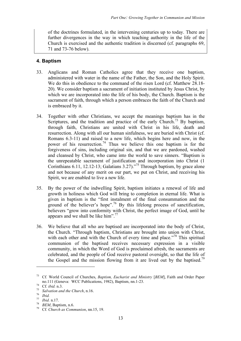of the doctrines formulated, in the intervening centuries up to today. There are further divergences in the way in which teaching authority in the life of the Church is exercised and the authentic tradition is discerned (cf. paragraphs 69, 71 and 73-76 below).

## **4. Baptism**

- 33. Anglicans and Roman Catholics agree that they receive one baptism, administered with water in the name of the Father, the Son, and the Holy Spirit. We do this in obedience to the command of the risen Lord (cf. Matthew 28.18- 20). We consider baptism a sacrament of initiation instituted by Jesus Christ, by which we are incorporated into the life of his body, the Church. Baptism is the sacrament of faith, through which a person embraces the faith of the Church and is embraced by it.
- 34. Together with other Christians, we accept the meanings baptism has in the Scriptures, and the tradition and practice of the early Church.<sup>73</sup> By baptism, through faith, Christians are united with Christ in his life, death and resurrection. Along with all our human sinfulness, we are buried with Christ (cf. Romans 6.3-11) and raised to a new life, which begins here and now, in the power of his resurrection.<sup>74</sup> Thus we believe this one baptism is for the forgiveness of sins, including original sin, and that we are pardoned, washed and cleansed by Christ, who came into the world to save sinners. "Baptism is the unrepeatable sacrament of justification and incorporation into Christ (1 Corinthians 6.11, 12.12-13; Galatians 3.27)."<sup>75</sup> Through baptism, by grace alone and not because of any merit on our part, we put on Christ, and receiving his Spirit, we are enabled to live a new life.
- 35. By the power of the indwelling Spirit, baptism initiates a renewal of life and growth in holiness which God will bring to completion in eternal life. What is given in baptism is the "first instalment of the final consummation and the ground of the believer's hope".<sup>76</sup> By this lifelong process of sanctification, believers "grow into conformity with Christ, the perfect image of God, until he appears and we shall be like him".<sup>77</sup>
- 36. We believe that all who are baptised are incorporated into the body of Christ, the Church. "Through baptism, Christians are brought into union with Christ, with each other and with the Church of every time and place."<sup>78</sup> This spiritual communion of the baptised receives necessary expression in a visible community, in which the Word of God is proclaimed afresh, the sacraments are celebrated, and the people of God receive pastoral oversight, so that the life of the Gospel and the mission flowing from it are lived out by the baptised.<sup>79</sup>

<sup>73</sup> Cf*.* World Council of Churches, *Baptism, Eucharist and Ministry* [*BEM*], Faith and Order Paper no.111 (Geneva: WCC Publications, 1982), Baptism, nn.1-23.<br>
<sup>74</sup> Cf. *ibid.* n.3.<br> *75 Salvation and the Church*, n.16.<br>
<sup>77</sup> *Ibid.* n.17.<br> *78 BEM*, Baptism, n.6.<br>
Cf. *Church as Communion*, nn.15, 19.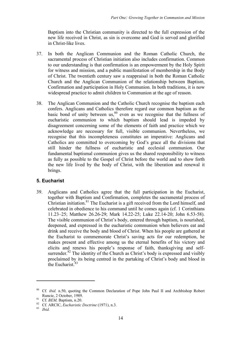Baptism into the Christian community is directed to the full expression of the new life received in Christ, as sin is overcome and God is served and glorified in Christ-like lives.

- 37. In both the Anglican Communion and the Roman Catholic Church, the sacramental process of Christian initiation also includes confirmation. Common to our understanding is that confirmation is an empowerment by the Holy Spirit for witness and mission, and a public manifestation of membership in the Body of Christ. The twentieth century saw a reappraisal in both the Roman Catholic Church and the Anglican Communion of the relationship between Baptism, Confirmation and participation in Holy Communion. In both traditions, it is now widespread practice to admit children to Communion at the age of reason.
- 38. The Anglican Communion and the Catholic Church recognise the baptism each confers. Anglicans and Catholics therefore regard our common baptism as the basic bond of unity between us,  $80$  even as we recognise that the fullness of eucharistic communion to which baptism should lead is impeded by disagreement concerning some of the elements of faith and practice which we acknowledge are necessary for full, visible communion. Nevertheless, we recognise that this incompleteness constitutes an imperative: Anglicans and Catholics are committed to overcoming by God's grace all the divisions that still hinder the fullness of eucharistic and ecclesial communion. Our fundamental baptismal communion gives us the shared responsibility to witness as fully as possible to the Gospel of Christ before the world and to show forth the new life lived by the body of Christ, with the liberation and renewal it brings.

## **5. Eucharist**

39. Anglicans and Catholics agree that the full participation in the Eucharist, together with Baptism and Confirmation, completes the sacramental process of Christian initiation.<sup>81</sup> The Eucharist is a gift received from the Lord himself, and celebrated in obedience to his command until he comes again (cf. 1 Corinthians 11.23–25; Matthew 26.26-29; Mark 14.22-25; Luke 22.14-20; John 6.53-58). The visible communion of Christ's body, entered through baptism, is nourished, deepened, and expressed in the eucharistic communion when believers eat and drink and receive the body and blood of Christ. When his people are gathered at the Eucharist to commemorate Christ's saving acts for our redemption, he makes present and effective among us the eternal benefits of his victory and elicits and renews his people's response of faith, thanksgiving and selfsurrender.<sup>82</sup> The identity of the Church as Christ's body is expressed and visibly proclaimed by its being centred in the partaking of Christ's body and blood in the Eucharist.<sup>83</sup>

<sup>80</sup> Cf*. ibid.* n.50, quoting the Common Declaration of Pope John Paul II and Archbishop Robert Runcie, 2 October, 1989.<br><sup>81</sup> Cf. *BEM*, Baptism, n.20.<br><sup>82</sup> Cf. ARCIC, *Eucharistic Doctrine* (1971), n.3.<br>*B*<sup>3</sup> *Ibid.*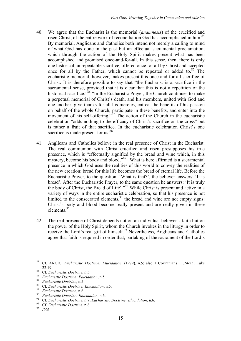- 40. We agree that the Eucharist is the memorial (*anamnesis*) of the crucified and risen Christ, of the entire work of reconciliation God has accomplished in him.<sup>84</sup> By memorial, Anglicans and Catholics both intend not merely a calling to mind of what God has done in the past but an effectual sacramental proclamation, which through the action of the Holy Spirit makes present what has been accomplished and promised once-and-for-all. In this sense, then, there is only one historical, unrepeatable sacrifice, offered once for all by Christ and accepted once for all by the Father, which cannot be repeated or added to.<sup>85</sup> The eucharistic memorial, however, makes present this once-and-for-all sacrifice of Christ. It is therefore possible to say that "the Eucharist is a sacrifice in the sacramental sense, provided that it is clear that this is not a repetition of the historical sacrifice.<sup>786</sup> "In the Eucharistic Prayer, the Church continues to make a perpetual memorial of Christ's death, and his members, united with God and one another, give thanks for all his mercies, entreat the benefits of his passion on behalf of the whole Church, participate in these benefits, and enter into the movement of his self-offering.<sup> $\dot{m}$ 7 The action of the Church in the eucharistic</sup> celebration "adds nothing to the efficacy of Christ's sacrifice on the cross" but is rather a fruit of that sacrifice. In the eucharistic celebration Christ's one sacrifice is made present for us.<sup>88</sup>
- 41. Anglicans and Catholics believe in the real presence of Christ in the Eucharist. The real communion with Christ crucified and risen presupposes his true presence, which is "effectually signified by the bread and wine which, in this mystery, become his body and blood."<sup>89</sup> "What is here affirmed is a sacramental presence in which God uses the realities of this world to convey the realities of the new creation: bread for this life becomes the bread of eternal life. Before the Eucharistic Prayer, to the question: 'What is that?', the believer answers: 'It is bread'. After the Eucharistic Prayer, to the same question he answers: 'It is truly the body of Christ, the Bread of Life'."<sup>90</sup> While Christ is present and active in a variety of ways in the entire eucharistic celebration, so that his presence is not limited to the consecrated elements,<sup>91</sup> the bread and wine are not empty signs: Christ's body and blood become really present and are really given in these elements. 92
- 42. The real presence of Christ depends not on an individual believer's faith but on the power of the Holy Spirit, whom the Church invokes in the liturgy in order to receive the Lord's real gift of himself.<sup>93</sup> Nevertheless, Anglicans and Catholics agree that faith is required in order that, partaking of the sacrament of the Lord's

<sup>84</sup> Cf*.* ARCIC, *Eucharistic Doctrine: Elucidation*, (1979), n.5; also 1 Corinthians 11.24-25; Luke <sup>85</sup> Cf. *Eucharistic Doctrine*, n.5.<br><sup>86</sup> Eucharistic Doctrine: Elucidation, n.5.<br><sup>87</sup> Eucharistic Doctrine, n.5.<br><sup>88</sup> Cf. *Eucharistic Doctrine*: Elucidation, n.5.<br><sup>89</sup> Eucharistic Doctrine: Elucidation, n.6.<br><sup>90</sup> Cf. *E*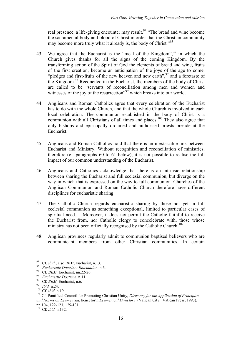real presence, a life-giving encounter may result.<sup>94</sup> "The bread and wine become the sacramental body and blood of Christ in order that the Christian community may become more truly what it already is, the body of Christ."<sup>95</sup>

- 43. We agree that the Eucharist is the "meal of the Kingdom",  $\frac{96}{5}$  in which the Church gives thanks for all the signs of the coming Kingdom. By the transforming action of the Spirit of God the elements of bread and wine, fruits of the first creation, become an anticipation of the joys of the age to come, "pledges and first-fruits of the new heaven and new earth",  $97$  and a foretaste of the Kingdom. <sup>98</sup> Reconciled in the Eucharist, the members of the body of Christ are called to be "servants of reconciliation among men and women and witnesses of the joy of the resurrection"<sup>99</sup> which breaks into our world.
- 44. Anglicans and Roman Catholics agree that every celebration of the Eucharist has to do with the whole Church, and that the whole Church is involved in each local celebration. The communion established in the body of Christ is a communion with all Christians of all times and places.<sup>100</sup> They also agree that only bishops and episcopally ordained and authorised priests preside at the Eucharist.
- 45. Anglicans and Roman Catholics hold that there is an inextricable link between Eucharist and Ministry. Without recognition and reconciliation of ministries, therefore (cf. paragraphs 60 to 61 below), it is not possible to realise the full impact of our common understanding of the Eucharist.
- 46. Anglicans and Catholics acknowledge that there is an intrinsic relationship between sharing the Eucharist and full ecclesial communion, but diverge on the way in which that is expressed on the way to full communion. Churches of the Anglican Communion and Roman Catholic Church therefore have different disciplines for eucharistic sharing.
- 47. The Catholic Church regards eucharistic sharing by those not yet in full ecclesial communion as something exceptional, limited to particular cases of spiritual need.<sup>101</sup> Moreover, it does not permit the Catholic faithful to receive the Eucharist from, nor Catholic clergy to concelebrate with, those whose ministry has not been officially recognised by the Catholic Church.<sup>102</sup>
- 48. Anglican provinces regularly admit to communion baptised believers who are communicant members from other Christian communities. In certain

<sup>&</sup>lt;sup>94</sup> Cf. *ibid.*; also *BEM*, Eucharist, n.13.<br>
<sup>95</sup> *Eucharistic Doctrine: Elucidation*, n.6.<br>
<sup>96</sup> Cf. *BEM*, Eucharist, nn.22-26.<br>
<sup>97</sup> *Eucharistic Doctrine*, n.11.<br>
<sup>98</sup> *Cf. BEM*, Eucharist, n.6.<br>
<sup>99</sup> *Ibid.* n.24. *and Norms on Ecumenism*, henceforth *Ecumenical Directory* (Vatican City: Vatican Press, 1993), nn.104, 122-123, 129-131. <sup>102</sup> Cf*. ibid.* n.132.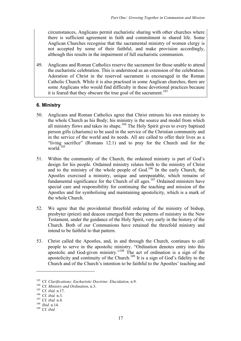circumstances, Anglicans permit eucharistic sharing with other churches where there is sufficient agreement in faith and commitment to shared life. Some Anglican Churches recognise that the sacramental ministry of women clergy is not accepted by some of their faithful, and make provision accordingly, although this results in the impairment of full eucharistic communion.

49. Anglicans and Roman Catholics reserve the sacrament for those unable to attend the eucharistic celebration. This is understood as an extension of the celebration. Adoration of Christ in the reserved sacrament is encouraged in the Roman Catholic Church. While it is also practised in some Anglican churches, there are some Anglicans who would find difficulty in these devotional practices because it is feared that they obscure the true goal of the sacrament. 103

## **6. Ministry**

- 50. Anglicans and Roman Catholics agree that Christ entrusts his own ministry to the whole Church as his Body; his ministry is the source and model from which all ministry flows and takes its shape. <sup>104</sup> The Holy Spirit gives to every baptised person gifts (charisms) to be used in the service of the Christian community and in the service of the world and its needs. All are called to offer their lives as a "living sacrifice" (Romans 12.1) and to pray for the Church and for the world. $105$
- 51. Within the community of the Church, the ordained ministry is part of God's design for his people. Ordained ministry relates both to the ministry of Christ and to the ministry of the whole people of God.<sup>106</sup> In the early Church, the Apostles exercised a ministry, unique and unrepeatable, which remains of fundamental significance for the Church of all ages.<sup>107</sup> Ordained ministers have special care and responsibility for continuing the teaching and mission of the Apostles and for symbolising and maintaining apostolicity, which is a mark of the whole Church.
- 52. We agree that the providential threefold ordering of the ministry of bishop, presbyter (priest) and deacon emerged from the patterns of ministry in the New Testament, under the guidance of the Holy Spirit, very early in the history of the Church. Both of our Communions have retained the threefold ministry and intend to be faithful to that pattern.
- 53. Christ called the Apostles, and, in and through the Church, continues to call people to serve in the apostolic ministry. "Ordination denotes entry into this apostolic and God-given ministry."<sup>108</sup> The act of ordination is a sign of the apostolicity and continuity of the Church.<sup>109</sup> It is a sign of God's fidelity to the Church and of the Church's intention to be faithful to the Apostles' teaching and

<sup>&</sup>lt;sup>103</sup> Cf. *Clarifications*; *Eucharistic Doctrine*: *Elucidation*, n.9.<br><sup>104</sup> Cf. *Ministry and Ordination*, n.3.<br><sup>105</sup> Cf. *ibid.* n.17.<br><sup>105</sup> Cf. *ibid.* n.3.<br><sup>107</sup> Cf. *ibid.* n.4.<br><sup>107</sup> Cf. *ibid.* n.14.<br><sup>109</sup> Cf *ibi*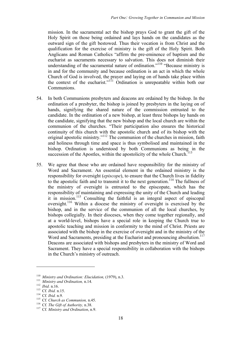mission. In the sacramental act the bishop prays God to grant the gift of the Holy Spirit on those being ordained and lays hands on the candidates as the outward sign of the gift bestowed. Thus their vocation is from Christ and the qualification for the exercise of ministry is the gift of the Holy Spirit. Both Anglicans and Roman Catholics "affirm the pre-eminence of baptism and the eucharist as sacraments necessary to salvation. This does not diminish their understanding of the sacramental nature of ordination.<sup>"110</sup> "Because ministry is in and for the community and because ordination is an act in which the whole Church of God is involved, the prayer and laying on of hands take place within the context of the eucharist."<sup>111</sup> Ordination is unrepeatable within both our **Communions** 

- 54. In both Communions presbyters and deacons are ordained by the bishop. In the ordination of a presbyter, the bishop is joined by presbyters in the laying on of hands, signifying the shared nature of the commission entrusted to the candidate. In the ordination of a new bishop, at least three bishops lay hands on the candidate, signifying that the new bishop and the local church are within the communion of the churches. "Their participation also ensures the historical continuity of this church with the apostolic church and of its bishop with the original apostolic ministry."112 The communion of the churches in mission, faith and holiness through time and space is thus symbolised and maintained in the bishop. Ordination is understood by both Communions as being in the succession of the Apostles, within the apostolicity of the whole Church.<sup> $113$ </sup>
- 55. We agree that those who are ordained have responsibility for the ministry of Word and Sacrament. An essential element in the ordained ministry is the responsibility for oversight (*episcope*), to ensure that the Church lives in fidelity to the apostolic faith and to transmit it to the next generation.<sup>114</sup> The fullness of the ministry of oversight is entrusted to the episcopate, which has the responsibility of maintaining and expressing the unity of the Church and leading it in mission.<sup>115</sup> Consulting the faithful is an integral aspect of episcopal oversight. <sup>116</sup> Within a diocese the ministry of oversight is exercised by the bishop, and in the service of the communion of all the local churches, by bishops collegially. In their dioceses, when they come together regionally, and at a world-level, bishops have a special role in keeping the Church true to apostolic teaching and mission in conformity to the mind of Christ. Priests are associated with the bishop in the exercise of oversight and in the ministry of the Word and Sacraments, presiding at the Eucharist and pronouncing absolution.<sup>117</sup> Deacons are associated with bishops and presbyters in the ministry of Word and Sacrament. They have a special responsibility in collaboration with the bishops in the Church's ministry of outreach.

<sup>&</sup>lt;sup>110</sup> Ministry and Ordination: Elucidation, (1979), n.3.<br><sup>111</sup> Ministry and Ordination, n.14.<br><sup>112</sup> Ibid. n.16.<br><sup>113</sup> Cf. *Ibid.* n.15.<br><sup>114</sup> Cf. *Ibid.* n.9.<br><sup>115</sup> Cf. Church as Communion, n.45.<br><sup>116</sup> Cf. *The Gift of Au*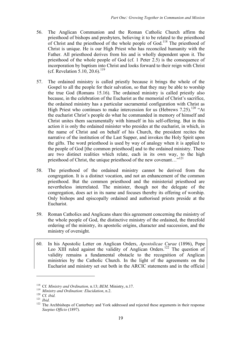- 56. The Anglican Communion and the Roman Catholic Church affirm the priesthood of bishops and presbyters, believing it to be related to the priesthood of Christ and the priesthood of the whole people of  $God.^{118}$ . The priesthood of Christ is unique. He is our High Priest who has reconciled humanity with the Father. All priesthood derives from his and is wholly dependent upon it. The priesthood of the whole people of God (cf. 1 Peter 2.5) is the consequence of incorporation by baptism into Christ and looks forward to their reign with Christ (cf. Revelation 5.10, 20.6). 119
- 57. The ordained ministry is called priestly because it brings the whole of the Gospel to all the people for their salvation, so that they may be able to worship the true God (Romans 15.16). The ordained ministry is called priestly also because, in the celebration of the Eucharist as the memorial of Christ's sacrifice, the ordained ministry has a particular sacramental configuration with Christ as High Priest who continues to make intercession for us (Hebrews 7.25).<sup>120</sup> "At the eucharist Christ's people do what he commanded in memory of himself and Christ unites them sacramentally with himself in his self-offering. But in this action it is only the ordained minister who presides at the eucharist, in which, in the name of Christ and on behalf of his Church, the president recites the narrative of the institution of the Last Supper, and invokes the Holy Spirit upon the gifts. The word priesthood is used by way of analogy when it is applied to the people of God [the common priesthood] and to the ordained ministry. These are two distinct realities which relate, each in its own way, to the high priesthood of Christ, the unique priesthood of the new covenant..."<sup>121</sup>
- 58. The priesthood of the ordained ministry cannot be derived from the congregation. It is a distinct vocation, and not an enhancement of the common priesthood. But the common priesthood and the ministerial priesthood are nevertheless interrelated. The minister, though not the delegate of the congregation, does act in its name and focuses thereby its offering of worship. Only bishops and episcopally ordained and authorised priests preside at the Eucharist.
- 59. Roman Catholics and Anglicans share this agreement concerning the ministry of the whole people of God, the distinctive ministry of the ordained, the threefold ordering of the ministry, its apostolic origins, character and succession, and the ministry of oversight.
- 60. In his Apostolic Letter on Anglican Orders, *Apostolicae Curae* (1896), Pope Leo XIII ruled against the validity of Anglican Orders.<sup>122</sup> The question of validity remains a fundamental obstacle to the recognition of Anglican ministries by the Catholic Church. In the light of the agreements on the Eucharist and ministry set out both in the ARCIC statements and in the official

<sup>&</sup>lt;sup>118</sup> Cf. *Ministry and Ordination*, n.13; *BEM*, Ministry, n.17.<br><sup>119</sup> *Ministry and Ordination: Elucidation*, n.2.<br><sup>120</sup> Cf. *ibid.*<br><sup>121</sup> *Ibid.*<br><sup>122</sup> The Archbishops of Canterbury and York addressed and rejected thes *Saepius Officio* (1897).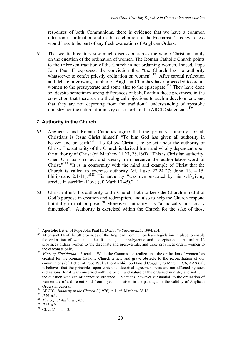responses of both Communions, there is evidence that we have a common intention in ordination and in the celebration of the Eucharist. This awareness would have to be part of any fresh evaluation of Anglican Orders.

61. The twentieth century saw much discussion across the whole Christian family on the question of the ordination of women. The Roman Catholic Church points to the unbroken tradition of the Church in not ordaining women. Indeed, Pope John Paul II expressed the conviction that "the Church has no authority whatsoever to confer priestly ordination on women".<sup>123</sup> After careful reflection and debate, a growing number of Anglican Churches have proceeded to ordain women to the presbyterate and some also to the episcopate.<sup>124</sup> They have done so, despite sometimes strong differences of belief within those provinces, in the conviction that there are no theological objections to such a development, and that they are not departing from the traditional understanding of apostolic ministry nor the nature of ministry as set forth in the ARCIC statements.<sup> $125$ </sup>

## **7. Authority in the Church**

- 62. Anglicans and Roman Catholics agree that the primary authority for all Christians is Jesus Christ himself. "To him God has given all authority in heaven and on earth."<sup>126</sup> To follow Christ is to be set under the authority of Christ. The authority of the Church is derived from and wholly dependent upon the authority of Christ (cf. Matthew 11.27, 28.18ff). "This is Christian authority: when Christians so act and speak, men perceive the authoritative word of Christ."127 "It is in conformity with the mind and example of Christ that the Church is called to exercise authority (cf. Luke 22.24-27; John 13.14-15; Philippians 2.1-11)."<sup>128</sup> His authority "was demonstrated by his self-giving service in sacrificial love (cf. Mark  $10.45$ )."<sup>129</sup>
- 63. Christ entrusts his authority to the Church, both to keep the Church mindful of God's purpose in creation and redemption, and also to help the Church respond faithfully to that purpose.<sup>130</sup> Moreover, authority has "a radically missionary dimension". "Authority is exercised within the Church for the sake of those

<sup>&</sup>lt;sup>123</sup> Apostolic Letter of Pope John Paul II, *Ordinatio Sacerdotalis*, 1994, n.4.<br><sup>124</sup> At present 14 of the 38 provinces of the Anglican Communion have legislation in place to enable the ordination of women to the diaconate, the presbyterate and the episcopate. A further 12 provinces ordain women to the diaconate and presbyterate, and three provinces ordain women to

the diaconate only. <sup>125</sup> *Ministry Elucidation* n.5 reads: "While the Commission realizes that the ordination of women has created for the Roman Catholic Church a new and grave obstacle to the reconciliation of our communions (cf*.* Letter of Pope Paul VI to Archbishop Donald Coggan, 23 March 1976, AAS 68), it believes that the principles upon which its doctrinal agreement rests are not affected by such ordinations; for it was concerned with the origin and nature of the ordained ministry and not with the question who can or cannot be ordained. Objections, however substantial, to the ordination of women are of a different kind from objections raised in the past against the validity of Anglican Orders in general."<br>
<sup>126</sup> ARCIC, *Authority in the Church I* (1976), n.1; cf. Matthew 28.18.<br>
<sup>127</sup> *Ibid.* n.3.<br>
<sup>128</sup> *The Gift of Authority*, n.5.<br>
<sup>129</sup> *Ibid.* n.9.<br>
<sup>130</sup> Cf. *ibid.* nn.7-13.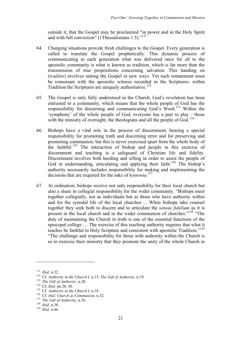outside it, that the Gospel may be proclaimed "in power and in the Holy Spirit and with full conviction" (1Thessalonians 1.5)."<sup>131</sup>

- 64. Changing situations provide fresh challenges to the Gospel. Every generation is called to translate the Gospel prophetically. This dynamic process of communicating to each generation what was delivered once for all to the apostolic community is what is known as tradition, which is far more than the transmission of true propositions concerning salvation. This handing on (*traditio*) involves stating the Gospel in new ways. Yet such restatement must be consonant with the apostolic witness recorded in the Scriptures: within Tradition the Scriptures are uniquely authoritative.<sup>132</sup>
- 65. The Gospel is only fully understood in the Church. God's revelation has been entrusted to a community, which means that the whole people of God has the responsibility for discerning and communicating God's Word.<sup>133</sup> Within the 'symphony' of the whole people of God, everyone has a part to play - those with the ministry of oversight, the theologians and all the people of  $God.134$
- 66. Bishops have a vital role in the process of discernment, bearing a special responsibility for promoting truth and discerning error and for preserving and promoting communion; but this is never exercised apart from the whole body of the faithful.<sup>135</sup> The interaction of bishop and people in this exercise of discernment and teaching is a safeguard of Christian life and fidelity. Discernment involves both heeding and sifting in order to assist the people of God in understanding, articulating and applying their faith.<sup>136</sup> The bishop's authority necessarily includes responsibility for making and implementing the decisions that are required for the sake of *koinonia*. 137
- 67. At ordination, bishops receive not only responsibility for their local church but also a share in collegial responsibility for the wider community. "Bishops meet together collegially, not as individuals but as those who have authority within and for the synodal life of the local churches ... When bishops take counsel together they seek both to discern and to articulate the *sensus fidelium* as it is present in the local church and in the wider communion of churches."<sup>138</sup> "The duty of maintaining the Church in truth is one of the essential functions of the episcopal college … The exercise of this teaching authority requires that what it teaches be faithful to Holy Scripture and consistent with apostolic Tradition."139 "The challenge and responsibility for those with authority within the Church is so to exercise their ministry that they promote the unity of the whole Church in

<sup>&</sup>lt;sup>131</sup> *Ibid.* n.32.<br><sup>132</sup> Cf. *Authority in the Church I, n.15; The Gift of Authority, n.19.*<br><sup>133</sup> *The Gift of Authority, n.28.*<br><sup>134</sup> Cf. *Ibid.* nn.28, 30.<br><sup>135</sup> Cf. *Authority in the Church I, n.18.*<br><sup>136</sup> Cf. *ibid;*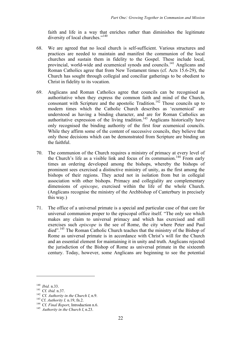faith and life in a way that enriches rather than diminishes the legitimate diversity of local churches."<sup>140</sup>

- 68. We are agreed that no local church is self-sufficient. Various structures and practices are needed to maintain and manifest the communion of the local churches and sustain them in fidelity to the Gospel. These include local, provincial, world-wide and ecumenical synods and councils.<sup>141</sup> Anglicans and Roman Catholics agree that from New Testament times (cf. Acts 15.6-29), the Church has sought through collegial and conciliar gatherings to be obedient to Christ in fidelity to its vocation.
- 69. Anglicans and Roman Catholics agree that councils can be recognised as authoritative when they express the common faith and mind of the Church, consonant with Scripture and the apostolic Tradition.<sup>142</sup> Those councils up to modern times which the Catholic Church describes as 'ecumenical' are understood as having a binding character, and are for Roman Catholics an authoritative expression of the living tradition.<sup>143</sup> Anglicans historically have only recognised the binding authority of the first four ecumenical councils. While they affirm some of the content of successive councils, they believe that only those decisions which can be demonstrated from Scripture are binding on the faithful.
- 70. The communion of the Church requires a ministry of primacy at every level of the Church's life as a visible link and focus of its communion. <sup>144</sup> From early times an ordering developed among the bishops, whereby the bishops of prominent sees exercised a distinctive ministry of unity, as the first among the bishops of their regions. They acted not in isolation from but in collegial association with other bishops. Primacy and collegiality are complementary dimensions of *episcope*, exercised within the life of the whole Church. (Anglicans recognise the ministry of the Archbishop of Canterbury in precisely this way.)
- 71. The office of a universal primate is a special and particular case of that care for universal communion proper to the episcopal office itself. "The only see which makes any claim to universal primacy and which has exercised and still exercises such *episcope* is the see of Rome, the city where Peter and Paul died". <sup>145</sup> The Roman Catholic Church teaches that the ministry of the Bishop of Rome as universal primate is in accordance with Christ's will for the Church and an essential element for maintaining it in unity and truth. Anglicans rejected the jurisdiction of the Bishop of Rome as universal primate in the sixteenth century. Today, however, some Anglicans are beginning to see the potential

<sup>&</sup>lt;sup>140</sup> *Ibid.* n.33.<br>
<sup>141</sup> Cf. *ibid.* n.37.<br>
<sup>142</sup> Cf. *Authority in the Church I*, n.9.<br>
<sup>143</sup> Cf. *Authority I*, n.19, fn.2.<br>
<sup>144</sup> Cf. *Final Report*, Introduction n.6.<br>
<sup>145</sup> *Authority in the Church I*, n.23.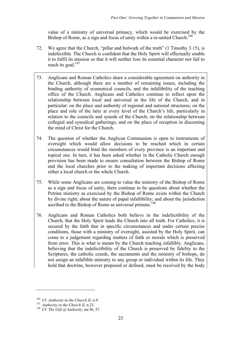value of a ministry of universal primacy, which would be exercised by the Bishop of Rome, as a sign and focus of unity within a re-united Church.<sup>146</sup>

- 72. We agree that the Church, "pillar and bulwark of the truth" (1 Timothy 3.15), is indefectible. The Church is confident that the Holy Spirit will effectually enable it to fulfil its mission so that it will neither lose its essential character nor fail to reach its goal.<sup>147</sup>
- 73. Anglicans and Roman Catholics share a considerable agreement on authority in the Church, although there are a number of remaining issues, including the binding authority of ecumenical councils, and the infallibility of the teaching office of the Church. Anglicans and Catholics continue to reflect upon the relationship between local and universal in the life of the Church, and in particular: on the place and authority of regional and national structures; on the place and role of the laity at every level of the Church's life, particularly in relation to the councils and synods of the Church; on the relationship between collegial and synodical gatherings; and on the place of reception in discerning the mind of Christ for the Church.
- 74. The question of whether the Anglican Communion is open to instruments of oversight which would allow decisions to be reached which in certain circumstances would bind the members of every province is an important and topical one. In turn, it has been asked whether in the Catholic Church enough provision has been made to ensure consultation between the Bishop of Rome and the local churches prior to the making of important decisions affecting either a local church or the whole Church.
- 75. While some Anglicans are coming to value the ministry of the Bishop of Rome as a sign and focus of unity, there continue to be questions about whether the Petrine ministry as exercised by the Bishop of Rome exists within the Church by divine right; about the nature of papal infallibility; and about the jurisdiction ascribed to the Bishop of Rome as universal primate.<sup>148</sup>
- 76. Anglicans and Roman Catholics both believe in the indefectibility of the Church, that the Holy Spirit leads the Church into all truth. For Catholics, it is secured by the faith that in specific circumstances and under certain precise conditions, those with a ministry of oversight, assisted by the Holy Spirit, can come to a judgement regarding matters of faith or morals which is preserved from error. This is what is meant by the Church teaching infallibly. Anglicans, believing that the indefectibility of the Church is preserved by fidelity to the Scriptures, the catholic creeds, the sacraments and the ministry of bishops, do not assign an infallible ministry to any group or individual within its life. They hold that doctrine, however proposed or defined, must be received by the body

<sup>&</sup>lt;sup>146</sup> Cf. *Authority in the Church II*, n.9.<br><sup>147</sup> *Authority in the Church II*, n.23.<br><sup>148</sup> Cf. *The Gift of Authority*, nn.56, 57.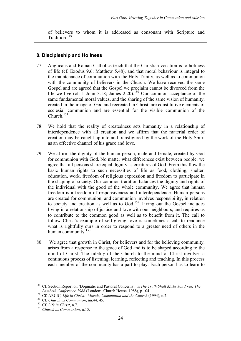of believers to whom it is addressed as consonant with Scripture and Tradition.<sup>149</sup>

#### **8. Discipleship and Holiness**

- 77. Anglicans and Roman Catholics teach that the Christian vocation is to holiness of life (cf. Exodus 9.6; Matthew 5.48), and that moral behaviour is integral to the maintenance of communion with the Holy Trinity, as well as to communion with the community of believers in the Church. We have received the same Gospel and are agreed that the Gospel we proclaim cannot be divorced from the life we live (cf. 1 John 3.18; James 2.20).<sup>150</sup> Our common acceptance of the same fundamental moral values, and the sharing of the same vision of humanity, created in the image of God and recreated in Christ, are constitutive elements of ecclesial communion and are essential for the visible communion of the Church.<sup>151</sup>
- 78. We hold that the reality of createdness sets humanity in a relationship of interdependence with all creation and we affirm that the material order of creation may be caught up into and transfigured by the work of the Holy Spirit as an effective channel of his grace and love.
- 79. We affirm the dignity of the human person, male and female, created by God for communion with God. No matter what differences exist between people, we agree that all persons share equal dignity as creatures of God. From this flow the basic human rights to such necessities of life as food, clothing, shelter, education, work, freedom of religious expression and freedom to participate in the shaping of society. Our common tradition balances the dignity and rights of the individual with the good of the whole community. We agree that human freedom is a freedom of responsiveness and interdependence. Human persons are created for communion, and communion involves responsibility, in relation to society and creation as well as to God.<sup>152</sup> Living out the Gospel includes living in a relationship of justice and love with our neighbours, and requires us to contribute to the common good as well as to benefit from it. The call to follow Christ's example of self-giving love is sometimes a call to renounce what is rightfully ours in order to respond to a greater need of others in the human community.<sup>153</sup>
- 80. We agree that growth in Christ, for believers and for the believing community, arises from a response to the grace of God and is to be shaped according to the mind of Christ. The fidelity of the Church to the mind of Christ involves a continuous process of listening, learning, reflecting and teaching. In this process each member of the community has a part to play. Each person has to learn to

<sup>149</sup> Cf. Section Report on 'Dogmatic and Pastoral Concerns', in *The Truth Shall Make You Free: The*

Lambeth Conference 1988 (London: Church House, 1988), p.104.<br><sup>150</sup> Cf. ARCIC, *Life in Christ: Morals, Communion and the Church* (1994), n.2.<br><sup>151</sup> Cf. *Church as Communion*, nn.44, 45.<br><sup>152</sup> Cf. *Life in Christ*, n.7.<br><sup>1</sup>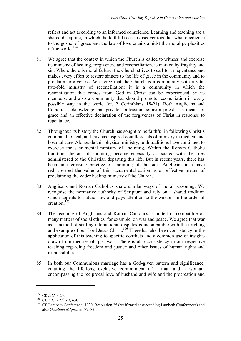reflect and act according to an informed conscience. Learning and teaching are a shared discipline, in which the faithful seek to discover together what obedience to the gospel of grace and the law of love entails amidst the moral perplexities of the world.<sup>154</sup>

- 81. We agree that the context in which the Church is called to witness and exercise its ministry of healing, forgiveness and reconciliation, is marked by fragility and sin. Where there is moral failure, the Church strives to call forth repentance and makes every effort to restore sinners to the life of grace in the community and to proclaim forgiveness. We agree that the Church is a community with a vital two-fold ministry of reconciliation: it is a community in which the reconciliation that comes from God in Christ can be experienced by its members, and also a community that should promote reconciliation in every possible way in the world (cf. 2 Corinthians 18-21). Both Anglicans and Catholics acknowledge that private confession before a priest is a means of grace and an effective declaration of the forgiveness of Christ in response to repentance.
- 82. Throughout its history the Church has sought to be faithful in following Christ's command to heal, and this has inspired countless acts of ministry in medical and hospital care. Alongside this physical ministry, both traditions have continued to exercise the sacramental ministry of anointing. Within the Roman Catholic tradition, the act of anointing became especially associated with the rites administered to the Christian departing this life. But in recent years, there has been an increasing practice of anointing of the sick. Anglicans also have rediscovered the value of this sacramental action as an effective means of proclaiming the wider healing ministry of the Church.
- 83. Anglicans and Roman Catholics share similar ways of moral reasoning. We recognise the normative authority of Scripture and rely on a shared tradition which appeals to natural law and pays attention to the wisdom in the order of creation.<sup>155</sup>
- 84. The teaching of Anglicans and Roman Catholics is united or compatible on many matters of social ethics, for example, on war and peace. We agree that war as a method of settling international disputes is incompatible with the teaching and example of our Lord Jesus Christ.<sup>156</sup> There has also been consistency in the application of this teaching to specific conflicts and a common use of insights drawn from theories of 'just war'. There is also consistency in our respective teaching regarding freedom and justice and other issues of human rights and responsibilities.
- 85. In both our Communions marriage has a God-given pattern and significance, entailing the life-long exclusive commitment of a man and a woman, encompassing the reciprocal love of husband and wife and the procreation and

<sup>&</sup>lt;sup>154</sup> Cf. *ibid.* n.29.<br><sup>155</sup> Cf. *Life in Christ*, n.9.<br><sup>156</sup> Cf. Lambeth Conference, 1930, Resolution 25 (reaffirmed at succeeding Lambeth Conferences) and also *Gaudium et Spes*, nn.77, 82.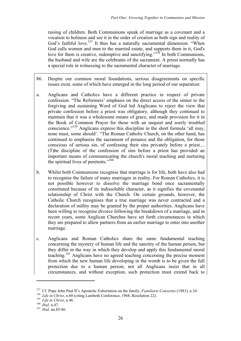raising of children. Both Communions speak of marriage as a covenant and a vocation to holiness and see it in the order of creation as both sign and reality of God's faithful love.<sup>157</sup> It thus has a naturally sacramental dimension. "When God calls women and men to the married estate, and supports them in it, God's love for them is creative, redemptive and sanctifying."<sup>158</sup> In both Communions, the husband and wife are the celebrants of the sacrament. A priest normally has a special role in witnessing to the sacramental character of marriage.

- 86. Despite our common moral foundations, serious disagreements on specific issues exist, some of which have emerged in the long period of our separation:
- a. Anglicans and Catholics have a different practice in respect of private confession. "The Reformers' emphasis on the direct access of the sinner to the forgiving and sustaining Word of God led Anglicans to reject the view that private confession before a priest was obligatory, although they continued to maintain that it was a wholesome means of grace, and made provision for it in the Book of Common Prayer for those with an unquiet and sorely troubled conscience."<sup>159</sup> Anglicans express this discipline in the short formula 'all may, none must, some should'. "The Roman Catholic Church, on the other hand, has continued to emphasise the sacrament of penance and the obligation, for those conscious of serious sin, of confessing their sins privately before a priest.... (T)he discipline of the confession of sins before a priest has provided an important means of communicating the church's moral teaching and nurturing the spiritual lives of penitents."<sup>160</sup>
- b. Whilst both Communions recognise that marriage is for life, both have also had to recognise the failure of many marriages in reality. For Roman Catholics, it is not possible however to dissolve the marriage bond once sacramentally constituted because of its indissoluble character, as it signifies the covenantal relationship of Christ with the Church. On certain grounds, however, the Catholic Church recognises that a true marriage was never contracted and a declaration of nullity may be granted by the proper authorities. Anglicans have been willing to recognise divorce following the breakdown of a marriage, and in recent years, some Anglican Churches have set forth circumstances in which they are prepared to allow partners from an earlier marriage to enter into another marriage.
- c. Anglicans and Roman Catholics share the same fundamental teaching concerning the mystery of human life and the sanctity of the human person, but they differ in the way in which they develop and apply this fundamental moral teaching.<sup>161</sup> Anglicans have no agreed teaching concerning the precise moment from which the new human life developing in the womb is to be given the full protection due to a human person; not all Anglicans insist that in all circumstances, and without exception, such protection must extend back to

<sup>&</sup>lt;sup>157</sup> Cf. Pope John Paul II's Apostolic Exhortation on the family, *Familiaris Consortio* (1981), n.34.<br><sup>158</sup> Life in Christ, n.60 (citing Lambeth Conference, 1968, Resolution 22).<br><sup>159</sup> Life in Christ, n.46.<br><sup>159</sup> Life i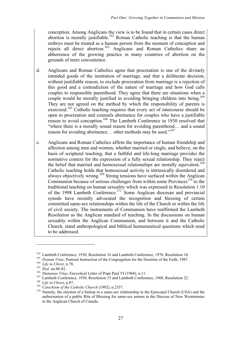conception. Among Anglicans the view is to be found that in certain cases direct abortion is morally justifiable.<sup>162</sup> Roman Catholic teaching is that the human embryo must be treated as a human person from the moment of conception and rejects all direct abortion.163 Anglicans and Roman Catholics share an abhorrence of the growing practice in many countries of abortion on the grounds of mere convenience.

- d. Anglicans and Roman Catholics agree that procreation is one of the divinely intended goods of the institution of marriage, and that a deliberate decision, without justifiable reason, to exclude procreation from marriage is a rejection of this good and a contradiction of the nature of marriage and how God calls couples to responsible parenthood. They agree that there are situations when a couple would be morally justified in avoiding bringing children into being.<sup>164</sup> They are not agreed on the method by which the responsibility of parents is exercised.<sup>165</sup> Catholic teaching requires that every act of intercourse should be open to procreation and counsels abstinence for couples who have a justifiable reason to avoid conception.166 The Lambeth Conference in 1930 resolved that "where there is a morally sound reason for avoiding parenthood… and a sound reason for avoiding abstinence... other methods may be used."<sup>167</sup>
- e. Anglicans and Roman Catholics affirm the importance of human friendship and affection among men and women, whether married or single, and believe, on the basis of scriptural teaching, that a faithful and life-long marriage provides the normative context for the expression of a fully sexual relationship. They reject the belief that married and homosexual relationships are morally equivalent. 168 Catholic teaching holds that homosexual activity is intrinsically disordered and always objectively wrong.<sup>169</sup> Strong tensions have surfaced within the Anglican Communion because of serious challenges from within some Provinces $170$  to the traditional teaching on human sexuality which was expressed in Resolution 1.10 of the 1998 Lambeth Conference.<sup>171</sup> Some Anglican diocesan and provincial synods have recently advocated the recognition and blessing of certain committed same-sex relationships within the life of the Church or within the life of civil society. The instruments of Communion have reaffirmed the Lambeth Resolution as the Anglican standard of teaching. In the discussions on human sexuality within the Anglican Communion, and between it and the Catholic Church, stand anthropological and biblical hermeneutical questions which need to be addressed.

<sup>&</sup>lt;sup>162</sup> Lambeth Conference, 1930, Resolution 16 and Lambeth Conference, 1978, Resolution 10.<br><sup>163</sup> Donum Vitae, Pastoral Instruction of the Congregation for the Doctrine of the Faith, 1987.<br><sup>164</sup> Life in Christ, n.78.<br><sup>165</sup> authorisation of a public Rite of Blessing for same-sex unions in the Diocese of New Westminster in the Anglican Church of Canada.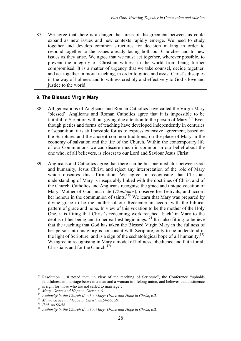87. We agree that there is a danger that areas of disagreement between us could expand as new issues and new contexts rapidly emerge. We need to study together and develop common structures for decision making in order to respond together to the issues already facing both our Churches and to new issues as they arise. We agree that we must act together, wherever possible, to prevent the integrity of Christian witness in the world from being further compromised. It is a matter of urgency that we take counsel, decide together, and act together in moral teaching, in order to guide and assist Christ's disciples in the way of holiness and to witness credibly and effectively to God's love and justice to the world.

## **9. The Blessed Virgin Mary**

- 88. All generations of Anglicans and Roman Catholics have called the Virgin Mary 'blessed'. Anglicans and Roman Catholics agree that it is impossible to be faithful to Scripture without giving due attention to the person of Mary.<sup>172</sup> Even though pieties and forms of teaching have developed independently in centuries of separation, it is still possible for us to express extensive agreement, based on the Scriptures and the ancient common traditions, on the place of Mary in the economy of salvation and the life of the Church. Within the contemporary life of our Communions we can discern much in common in our belief about the one who, of all believers, is closest to our Lord and Saviour Jesus Christ.
- 89. Anglicans and Catholics agree that there can be but one mediator between God and humanity, Jesus Christ, and reject any interpretation of the role of Mary which obscures this affirmation. We agree in recognising that Christian understanding of Mary is inseparably linked with the doctrines of Christ and of the Church. Catholics and Anglicans recognise the grace and unique vocation of Mary, Mother of God Incarnate (*Theotókos*), observe her festivals, and accord her honour in the communion of saints.<sup>173</sup> We learn that Mary was prepared by divine grace to be the mother of our Redeemer in accord with the biblical pattern of grace and hope. In view of this vocation to be the mother of the Holy One, it is fitting that Christ's redeeming work reached 'back' in Mary to the depths of her being and to her earliest beginnings. <sup>174</sup> It is also fitting to believe that the teaching that God has taken the Blessed Virgin Mary in the fullness of her person into his glory is consonant with Scripture, only to be understood in the light of Scripture, and is a sign of the eschatological hope of all humanity. 175 We agree in recognising in Mary a model of holiness, obedience and faith for all Christians and for the Church.<sup>176</sup>

 $171$  Resolution 1.10 noted that "in view of the teaching of Scripture", the Conference "upholds" faithfulness in marriage between a man and a woman in lifelong union, and believes that abstinence

is right for those who are not called to marriage".<br>
<sup>172</sup> Mary: Grace and Hope in Christ, n.6.<br>
<sup>173</sup> Authority in the Church II, n.30; Mary: Grace and Hope in Christ, n.2.<br>
<sup>174</sup> Mary: Grace and Hope in Christ, nn.54-55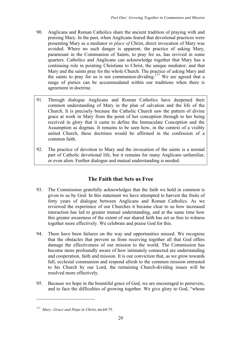- 90. Anglicans and Roman Catholics share the ancient tradition of praying with and praising Mary. In the past, when Anglicans feared that devotional practices were presenting Mary as a mediator *in place of* Christ, direct invocation of Mary was avoided. Where no such danger is apparent, the practice of asking Mary, paramount in the Communion of Saints, to pray for us, has revived in some quarters. Catholics and Anglicans can acknowledge together that Mary has a continuing role in pointing Christians to Christ, the unique mediator; and that Mary and the saints pray for the whole Church. The practice of asking Mary and the saints to pray for us is not communion-dividing.<sup>177</sup> We are agreed that a range of pieties can be accommodated within our traditions when there is agreement in doctrine.
- 91. Through dialogue Anglicans and Roman Catholics have deepened their common understanding of Mary in the plan of salvation and the life of the Church. It is precisely because the Catholic Church saw the pattern of divine grace at work in Mary from the point of her conception through to her being received in glory that it came to define the Immaculate Conception and the Assumption as dogmas. It remains to be seen how, in the context of a visibly united Church, these doctrines would be affirmed in the confession of a common faith.
- 92. The practice of devotion to Mary and the invocation of the saints is a normal part of Catholic devotional life, but it remains for many Anglicans unfamiliar, or even alien. Further dialogue and mutual understanding is needed.

# **The Faith that Sets us Free**

- 93. The Commission gratefully acknowledges that the faith we hold in common is given to us by God. In this statement we have attempted to harvest the fruits of forty years of dialogue between Anglicans and Roman Catholics. As we reviewed the experience of our Churches it became clear to us how increased interaction has led to greater mutual understanding, and at the same time how this greater awareness of the extent of our shared faith has set us free to witness together more effectively. We celebrate and praise God for this.
- 94. There have been failures on the way and opportunities missed. We recognise that the obstacles that prevent us from receiving together all that God offers damage the effectiveness of our mission to the world. The Commission has become more profoundly aware of how intimately connected are understanding and cooperation, faith and mission. It is our conviction that, as we grow towards full, ecclesial communion and respond afresh to the common mission entrusted to his Church by our Lord, the remaining Church-dividing issues will be resolved more effectively.
- 95. Because we hope in the bountiful grace of God, we are encouraged to persevere, and to face the difficulties of growing together. We give glory to God, "whose

<sup>177</sup> *Mary: Grace and Hope in Christ*, nn.64-75.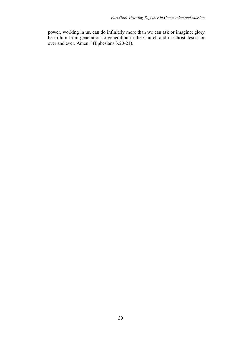power, working in us, can do infinitely more than we can ask or imagine; glory be to him from generation to generation in the Church and in Christ Jesus for ever and ever. Amen." (Ephesians 3.20-21).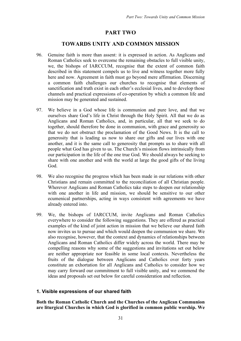# **PART TWO**

## **TOWARDS UNITY AND COMMON MISSION**

- 96. Genuine faith is more than assent: it is expressed in action. As Anglicans and Roman Catholics seek to overcome the remaining obstacles to full visible unity, we, the bishops of IARCCUM, recognise that the extent of common faith described in this statement compels us to live and witness together more fully here and now. Agreement in faith must go beyond mere affirmation. Discerning a common faith challenges our churches to recognise that elements of sanctification and truth exist in each other's ecclesial lives, and to develop those channels and practical expressions of co-operation by which a common life and mission may be generated and sustained.
- 97. We believe in a God whose life is communion and pure love, and that we ourselves share God's life in Christ through the Holy Spirit. All that we do as Anglicans and Roman Catholics, and, in particular, all that we seek to do together, should therefore be done in communion, with grace and generosity so that we do not obstruct the proclamation of the Good News. It is the call to generosity that is leading us now to share our gifts and our lives with one another, and it is the same call to generosity that prompts us to share with all people what God has given to us. The Church's mission flows intrinsically from our participation in the life of the one true God. We should always be seeking to share with one another and with the world at large the good gifts of the living God.
- 98. We also recognise the progress which has been made in our relations with other Christians and remain committed to the reconciliation of all Christian people. Wherever Anglicans and Roman Catholics take steps to deepen our relationship with one another in life and mission, we should be sensitive to our other ecumenical partnerships, acting in ways consistent with agreements we have already entered into.
- 99. We, the bishops of IARCCUM, invite Anglicans and Roman Catholics everywhere to consider the following suggestions. They are offered as practical examples of the kind of joint action in mission that we believe our shared faith now invites us to pursue and which would deepen the communion we share. We also recognise, however, that the context and dynamics of relationships between Anglicans and Roman Catholics differ widely across the world. There may be compelling reasons why some of the suggestions and invitations set out below are neither appropriate nor feasible in some local contexts. Nevertheless the fruits of the dialogue between Anglicans and Catholics over forty years constitute an exhortation for all Anglicans and Catholics to consider how we may carry forward our commitment to full visible unity, and we commend the ideas and proposals set out below for careful consideration and reflection.

## **1. Visible expressions of our shared faith**

**Both the Roman Catholic Church and the Churches of the Anglican Communion are liturgical Churches in which God is glorified in common public worship. We**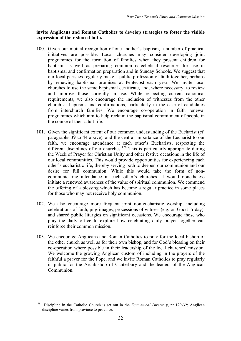#### **invite Anglicans and Roman Catholics to develop strategies to foster the visible expression of their shared faith.**

- 100. Given our mutual recognition of one another's baptism, a number of practical initiatives are possible. Local churches may consider developing joint programmes for the formation of families when they present children for baptism, as well as preparing common catechetical resources for use in baptismal and confirmation preparation and in Sunday Schools. We suggest that our local parishes regularly make a public profession of faith together, perhaps by renewing baptismal promises at Pentecost each year. We invite local churches to use the same baptismal certificate, and, where necessary, to review and improve those currently in use. While respecting current canonical requirements, we also encourage the inclusion of witnesses from the other church at baptisms and confirmations, particularly in the case of candidates from interchurch families. We encourage co-operation in faith renewal programmes which aim to help reclaim the baptismal commitment of people in the course of their adult life.
- 101. Given the significant extent of our common understanding of the Eucharist (cf. paragraphs 39 to 44 above), and the central importance of the Eucharist to our faith, we encourage attendance at each other's Eucharists, respecting the different disciplines of our churches. <sup>178</sup> This is particularly appropriate during the Week of Prayer for Christian Unity and other festive occasions in the life of our local communities. This would provide opportunities for experiencing each other's eucharistic life, thereby serving both to deepen our communion and our desire for full communion. While this would take the form of noncommunicating attendance in each other's churches, it would nonetheless initiate a renewed awareness of the value of spiritual communion. We commend the offering of a blessing which has become a regular practice in some places for those who may not receive holy communion.
- 102. We also encourage more frequent joint non-eucharistic worship, including celebrations of faith, pilgrimages, processions of witness (e.g. on Good Friday), and shared public liturgies on significant occasions. We encourage those who pray the daily office to explore how celebrating daily prayer together can reinforce their common mission.
- 103. We encourage Anglicans and Roman Catholics to pray for the local bishop of the other church as well as for their own bishop, and for God's blessing on their co-operation where possible in their leadership of the local churches' mission. We welcome the growing Anglican custom of including in the prayers of the faithful a prayer for the Pope, and we invite Roman Catholics to pray regularly in public for the Archbishop of Canterbury and the leaders of the Anglican Communion.

<sup>178</sup> Discipline in the Catholic Church is set out in the *Ecumenical Directory*, nn.129-32; Anglican discipline varies from province to province.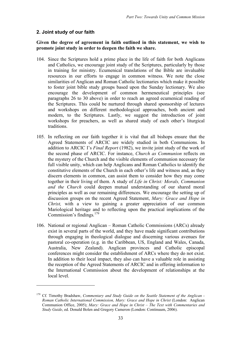## **2. Joint study of our faith**

 $\overline{a}$ 

#### **Given the degree of agreement in faith outlined in this statement, we wish to promote joint study in order to deepen the faith we share.**

- 104. Since the Scriptures hold a prime place in the life of faith for both Anglicans and Catholics, we encourage joint study of the Scriptures, particularly by those in training for ministry. Ecumenical translations of the Bible are invaluable resources in our efforts to engage in common witness. We note the close similarities of Anglican and Roman Catholic lectionaries which make it possible to foster joint bible study groups based upon the Sunday lectionary. We also encourage the development of common hermeneutical principles (see paragraphs 26 to 30 above) in order to reach an agreed ecumenical reading of the Scriptures. This could be nurtured through shared sponsorship of lectures and workshops on different methodological approaches, both ancient and modern, to the Scriptures. Lastly, we suggest the introduction of joint workshops for preachers, as well as shared study of each other's liturgical traditions.
- 105. In reflecting on our faith together it is vital that all bishops ensure that the Agreed Statements of ARCIC are widely studied in both Communions. In addition to ARCIC I's *Final Report* (1982), we invite joint study of the work of the second phase of ARCIC. For instance, *Church as Communion* reflects on the mystery of the Church and the visible elements of communion necessary for full visible unity, which can help Anglicans and Roman Catholics to identify the constitutive elements of the Church in each other's life and witness and, as they discern elements in common, can assist them to consider how they may come together in their living of them. A study of *Life in Christ: Morals, Communion and the Church* could deepen mutual understanding of our shared moral principles as well as our remaining differences. We encourage the setting up of discussion groups on the recent Agreed Statement, *Mary: Grace and Hope in Christ*, with a view to gaining a greater appreciation of our common Mariological heritage and to reflecting upon the practical implications of the Commission's findings*.* 179
- 106. National or regional Anglican Roman Catholic Commissions (ARCs) already exist in several parts of the world, and they have made significant contributions through engaging in theological dialogue and discerning various avenues for pastoral co-operation (e.g. in the Caribbean, US, England and Wales, Canada, Australia, New Zealand). Anglican provinces and Catholic episcopal conferences might consider the establishment of ARCs where they do not exist. In addition to their local impact, they also can have a valuable role in assisting the reception of the Agreed Statements of ARCIC and in offering information to the International Commission about the development of relationships at the local level.

<sup>179</sup> Cf*.* Timothy Bradshaw, *Commentary and Study Guide on the Seattle Statement of the Anglican - Roman Catholic International Commission, Mary: Grace and Hope in Christ* (London: Anglican Communion Office, 2005); *Mary: Grace and Hope in Christ – The Text with Commentaries and Study Guide*, ed. Donald Bolen and Gregory Cameron (London: Continuum, 2006).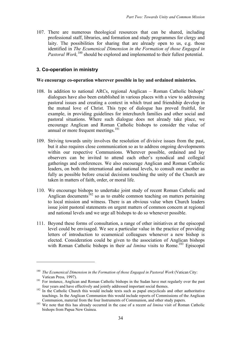107. There are numerous theological resources that can be shared, including professional staff, libraries, and formation and study programmes for clergy and laity. The possibilities for sharing that are already open to us, e.g. those identified in *The Ecumenical Dimension in the Formation of those Engaged in* Pastoral Work,<sup>180</sup> should be explored and implemented to their fullest potential.

## **3. Co-operation in ministry**

 $\overline{a}$ 

#### **We encourage co-operation wherever possible in lay and ordained ministries.**

- 108. In addition to national ARCs, regional Anglican Roman Catholic bishops' dialogues have also been established in various places with a view to addressing pastoral issues and creating a context in which trust and friendship develop in the mutual love of Christ. This type of dialogue has proved fruitful, for example, in providing guidelines for interchurch families and other social and pastoral situations. Where such dialogue does not already take place, we encourage Anglican and Roman Catholic bishops to consider the value of annual or more frequent meetings. 181
- 109. Striving towards unity involves the resolution of divisive issues from the past, but it also requires close communication so as to address ongoing developments within our respective Communions. Wherever possible, ordained and lay observers can be invited to attend each other's synodical and collegial gatherings and conferences. We also encourage Anglican and Roman Catholic leaders, on both the international and national levels, to consult one another as fully as possible before crucial decisions touching the unity of the Church are taken in matters of faith, order, or moral life.
- 110. We encourage bishops to undertake joint study of recent Roman Catholic and Anglican documents<sup>182</sup> so as to enable common teaching on matters pertaining to local mission and witness. There is an obvious value when Church leaders issue joint pastoral statements on urgent matters of common concern at regional and national levels and we urge all bishops to do so whenever possible.
- 111. Beyond these forms of consultation, a range of other initiatives at the episcopal level could be envisaged. We see a particular value in the practice of providing letters of introduction to ecumenical colleagues whenever a new bishop is elected. Consideration could be given to the association of Anglican bishops with Roman Catholic bishops in their *ad limina* visits to Rome. <sup>183</sup> Episcopal

<sup>180</sup> *The Ecumenical Dimension in the Formation of those Engaged in Pastoral Work* (Vatican City:

Vatican Press, 1997).<br>
<sup>181</sup> For instance, Anglican and Roman Catholic bishops in the Sudan have met regularly over the past<br>
four vears and have effectively and jointly addressed important social themes.

 $182$  In the Catholic Church this would include texts such as papal encyclicals and other authoritative teachings. In the Anglican Communion this would include reports of Commissions of the Anglican

Communion, material from the four Instruments of Communion, and other study papers. <sup>183</sup> We note that this has already occurred in the case of <sup>a</sup> recent *ad limina* visit of Roman Catholic bishops from Papua New Guinea.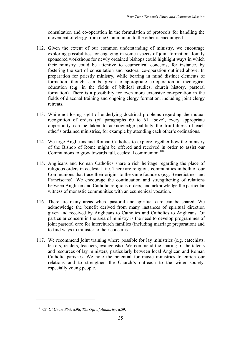consultation and co-operation in the formulation of protocols for handling the movement of clergy from one Communion to the other is encouraged.

- 112. Given the extent of our common understanding of ministry, we encourage exploring possibilities for engaging in some aspects of joint formation. Jointly sponsored workshops for newly ordained bishops could highlight ways in which their ministry could be attentive to ecumenical concerns, for instance, by fostering the sort of consultation and pastoral co-operation outlined above. In preparation for priestly ministry, while bearing in mind distinct elements of formation, thought can be given to appropriate co-operation in theological education (e.g. in the fields of biblical studies, church history, pastoral formation). There is a possibility for even more extensive co-operation in the fields of diaconal training and ongoing clergy formation, including joint clergy retreats.
- 113. While not losing sight of underlying doctrinal problems regarding the mutual recognition of orders (cf. paragraphs 60 to 61 above), every appropriate opportunity can be taken to acknowledge publicly the fruitfulness of each other's ordained ministries, for example by attending each other's ordinations.
- 114. We urge Anglicans and Roman Catholics to explore together how the ministry of the Bishop of Rome might be offered and received in order to assist our Communions to grow towards full, ecclesial communion. 184
- 115. Anglicans and Roman Catholics share a rich heritage regarding the place of religious orders in ecclesial life. There are religious communities in both of our Communions that trace their origins to the same founders (e.g. Benedictines and Franciscans). We encourage the continuation and strengthening of relations between Anglican and Catholic religious orders, and acknowledge the particular witness of monastic communities with an ecumenical vocation.
- 116. There are many areas where pastoral and spiritual care can be shared. We acknowledge the benefit derived from many instances of spiritual direction given and received by Anglicans to Catholics and Catholics to Anglicans. Of particular concern in the area of ministry is the need to develop programmes of joint pastoral care for interchurch families (including marriage preparation) and to find ways to minister to their concerns.
- 117. We recommend joint training where possible for lay ministries (e.g. catechists, lectors, readers, teachers, evangelists). We commend the sharing of the talents and resources of lay ministers, particularly between local Anglican and Roman Catholic parishes. We note the potential for music ministries to enrich our relations and to strengthen the Church's outreach to the wider society, especially young people.

<sup>184</sup> Cf. *Ut Unum Sint*, n.96; *The Gift of Authority*, n.59.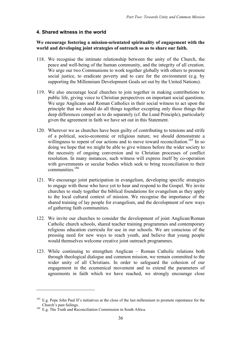## **4. Shared witness in the world**

#### **We encourage fostering a mission-orientated spirituality of engagement with the world and developing joint strategies of outreach so as to share our faith.**

- 118. We recognise the intimate relationship between the unity of the Church, the peace and well-being of the human community, and the integrity of all creation. We urge our two Communions to work together globally with others to promote social justice, to eradicate poverty and to care for the environment (e.g. by supporting the Millennium Development Goals set out by the United Nations).
- 119. We also encourage local churches to join together in making contributions to public life, giving voice to Christian perspectives on important social questions. We urge Anglicans and Roman Catholics in their social witness to act upon the principle that we should do all things together excepting only those things that deep differences compel us to do separately (cf. the Lund Principle), particularly given the agreement in faith we have set out in this Statement.
- 120. Wherever we as churches have been guilty of contributing to tensions and strife of a political, socio-economic or religious nature, we should demonstrate a willingness to repent of our actions and to move toward reconciliation.<sup>185</sup> In so doing we hope that we might be able to give witness before the wider society to the necessity of ongoing conversion and to Christian processes of conflict resolution. In many instances, such witness will express itself by co-operation with governments or secular bodies which seek to bring reconciliation to their communities. 186
- 121. We encourage joint participation in evangelism, developing specific strategies to engage with those who have yet to hear and respond to the Gospel. We invite churches to study together the biblical foundations for evangelism as they apply to the local cultural context of mission. We recognise the importance of the shared training of lay people for evangelism, and the development of new ways of gathering faith communities.
- 122. We invite our churches to consider the development of joint Anglican/Roman Catholic church schools, shared teacher training programmes and contemporary religious education curricula for use in our schools. We are conscious of the pressing need for new ways to reach youth, and believe that young people would themselves welcome creative joint outreach programmes.
- 123. While continuing to strengthen Anglican Roman Catholic relations both through theological dialogue and common mission, we remain committed to the wider unity of all Christians. In order to safeguard the cohesion of our engagement in the ecumenical movement and to extend the parameters of agreements in faith which we have reached, we strongly encourage close

<sup>&</sup>lt;sup>185</sup> E.g. Pope John Paul II's initiatives at the close of the last millennium to promote repentance for the Church's past failings.

<sup>&</sup>lt;sup>186</sup> E.g. The Truth and Reconciliation Commission in South Africa.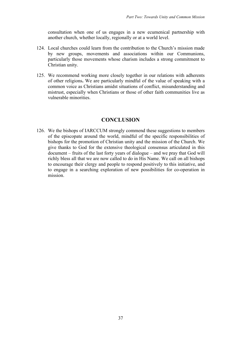consultation when one of us engages in a new ecumenical partnership with another church, whether locally, regionally or at a world level.

- 124. Local churches could learn from the contribution to the Church's mission made by new groups, movements and associations within our Communions, particularly those movements whose charism includes a strong commitment to Christian unity.
- 125. We recommend working more closely together in our relations with adherents of other religions**.** We are particularly mindful of the value of speaking with a common voice as Christians amidst situations of conflict, misunderstanding and mistrust, especially when Christians or those of other faith communities live as vulnerable minorities.

# **CONCLUSION**

126. We the bishops of IARCCUM strongly commend these suggestions to members of the episcopate around the world, mindful of the specific responsibilities of bishops for the promotion of Christian unity and the mission of the Church. We give thanks to God for the extensive theological consensus articulated in this document – fruits of the last forty years of dialogue – and we pray that God will richly bless all that we are now called to do in His Name. We call on all bishops to encourage their clergy and people to respond positively to this initiative, and to engage in a searching exploration of new possibilities for co-operation in mission.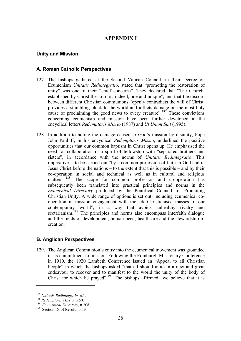# **APPENDIX I**

#### **Unity and Mission**

#### **A. Roman Catholic Perspectives**

- 127. The bishops gathered at the Second Vatican Council, in their Decree on Ecumenism *Unitatis Redintegratio*, stated that "promoting the restoration of unity" was one of their "chief concerns". They declared that "The Church, established by Christ the Lord is, indeed, one and unique", and that the discord between different Christian communions "openly contradicts the will of Christ, provides a stumbling block to the world and inflicts damage on the most holy cause of proclaiming the good news to every creature".<sup>187</sup> These convictions concerning ecumenism and mission have been further developed in the encyclical letters *Redemptoris Missio* (1987) and *Ut Unum Sint* (1995).
- 128. In addition to noting the damage caused to God's mission by disunity, Pope John Paul II, in his encyclical *Redemptoris Missio*, underlined the positive opportunities that our common baptism in Christ opens up. He emphasised the need for collaboration in a spirit of fellowship with "separated brothers and sisters", in accordance with the norms of *Unitatis Redintegratio*. This imperative is to be carried out "by a common profession of faith in God and in Jesus Christ before the nations – to the extent that this is possible – and by their co-operation in social and technical as well as in cultural and religious matters".<sup>188</sup> The scope for common profession and co-operation has subsequently been translated into practical principles and norms in the *Ecumenical Directory* produced by the Pontifical Council for Promoting Christian Unity. A wide range of options is set out, including ecumenical cooperation in mission engagement with the "de-Christianised masses of our contemporary world", in a way that avoids unhealthy rivalry and sectarianism.<sup>189</sup> The principles and norms also encompass interfaith dialogue and the fields of development, human need, healthcare and the stewardship of creation.

#### **B. Anglican Perspectives**

129. The Anglican Communion's entry into the ecumenical movement was grounded in its commitment to mission. Following the Edinburgh Missionary Conference in 1910, the 1920 Lambeth Conference issued an "Appeal to all Christian People" in which the bishops asked "that all should unite in a new and great endeavour to recover and to manifest to the world the unity of the body of Christ for which he prayed".<sup>190</sup> The bishops affirmed "we believe that it is

<sup>&</sup>lt;sup>187</sup> *Unitatis Redintegratio,* n.1.<br><sup>188</sup> *Redemptoris Missio,* n.50.<br><sup>189</sup> *Ecumenical Directory,* n.208.<br><sup>190</sup> Section IX of Resolution 9.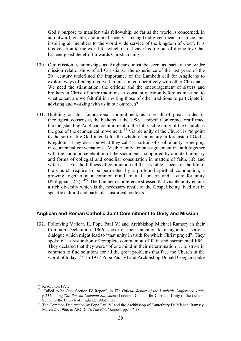God's purpose to manifest this fellowship, so far as the world is concerned, in an outward, visible, and united society ... using God given means of grace, and inspiring all members to the world wide service of the kingdom of God". It is this vocation to the world for which Christ gave his life out of divine love that has energised the effort towards Christian unity.

- 130. Our mission relationships as Anglicans must be seen as part of the wider mission relationships of all Christians. The experience of the last years of the 20<sup>th</sup> century underlined the importance of the Lambeth call for Anglicans to explore ways of being involved in mission co-operatively with other Christians. We need the stimulation, the critique and the encouragement of sisters and brothers in Christ of other traditions. A constant question before us must be, to what extent are we faithful in inviting those of other traditions to participate in advising and working with us in our outreach?
- 131. Building on this foundational commitment, as a result of great strides in theological consensus, the bishops at the 1998 Lambeth Conference reaffirmed the longstanding Anglican commitment to the full visible unity of the Church as the goal of the ecumenical movement. <sup>191</sup> Visible unity of the Church is "to point to the sort of life God intends for the whole of humanity, a foretaste of God's Kingdom". They describe what they call "a portrait of visible unity" emerging in ecumenical conversations. Visible unity "entails agreement in faith together with the common celebration of the sacraments, supported by a united ministry and forms of collegial and conciliar consultation in matters of faith, life and witness … For the fullness of communion all these visible aspects of the life of the Church require to be permeated by a profound spiritual communion, a growing together in a common mind, mutual concern and a care for unity (Philippians.2.2)."<sup>192</sup> The Lambeth Conference stressed that visible unity entails a rich diversity which is the necessary result of the Gospel being lived out in specific cultural and particular historical contexts.

#### **Anglican and Roman Catholic Joint Commitment to Unity and Mission**

132. Following Vatican II, Pope Paul VI and Archbishop Michael Ramsey in their Common Declaration, 1966, spoke of their intention to inaugurate a serious dialogue which might lead to "that unity in truth for which Christ prayed". They spoke of "a restoration of complete communion of faith and sacramental life". They declared that they were "of one mind in their determination … to strive in common to find solutions for all the great problems that face the Church in the world of today".<sup>193</sup> In 1977 Pope Paul VI and Archbishop Donald Coggan spoke

<sup>191</sup> Resolution IV.1. <sup>192</sup> 'Called to be One: Section IV Report', in *The Official Report of the Lambeth Conference <sup>1998</sup>*, p.232, citing *The Porvoo Common Statement* (London: Council for Christian Unity of the General

Synod of the Church of England, 1993), n.28.<br><sup>193</sup> The Common Declaration by Pope Paul VI and the Archbishop of Canterbury Dr Michael Ramsey, March 24, 1966, in ARCIC I's *The Final Report*, pp.117-18.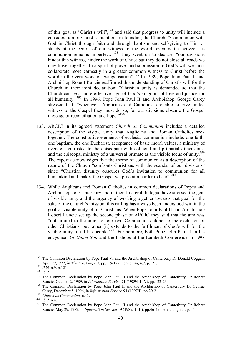of this goal as "Christ's will",<sup>194</sup> and said that progress to unity will include a consideration of Christ's intentions in founding the Church. "Communion with God in Christ through faith and through baptism and self-giving to Him ... stands at the centre of our witness to the world, even while between us communion remains imperfect."<sup>195</sup> They went on to declare, "our divisions" hinder this witness, hinder the work of Christ but they do not close all roads we may travel together. In a spirit of prayer and submission to God's will we must collaborate more earnestly in a greater common witness to Christ before the world in the very work of evangelisation".<sup>196</sup> In 1989, Pope John Paul II and Archbishop Robert Runcie reaffirmed this understanding of Christ's will for the Church in their joint declaration: "Christian unity is demanded so that the Church can be a more effective sign of God's kingdom of love and justice for all humanity."197 In 1996, Pope John Paul II and Archbishop George Carey stressed that, "whenever [Anglicans and Catholics] are able to give united witness to the Gospel they must do so, for our divisions obscure the Gospel message of reconciliation and hope."<sup>198</sup>

- 133. ARCIC in its agreed statement *Church as Communion* includes a detailed description of the visible unity that Anglicans and Roman Catholics seek together. The constitutive elements of ecclesial communion include: one faith, one baptism, the one Eucharist, acceptance of basic moral values, a ministry of oversight entrusted to the episcopate with collegial and primatial dimensions, and the episcopal ministry of a universal primate as the visible focus of unity.<sup>199</sup> The report acknowledges that the theme of communion as a description of the nature of the Church "confronts Christians with the scandal of our divisions" since "Christian disunity obscures God's invitation to communion for all humankind and makes the Gospel we proclaim harder to hear".<sup>200</sup>
- 134. While Anglicans and Roman Catholics in common declarations of Popes and Archbishops of Canterbury and in their bilateral dialogue have stressed the goal of visible unity and the urgency of working together towards that goal for the sake of the Church's mission, this calling has always been understood within the goal of visible unity of all Christians. When Pope John Paul II and Archbishop Robert Runcie set up the second phase of ARCIC they said that the aim was "not limited to the union of our two Communions alone, to the exclusion of other Christians, but rather [it] extends to the fulfilment of God's will for the visible unity of all his people".<sup>201</sup> Furthermore, both Pope John Paul II in his encyclical *Ut Unum Sint* and the bishops at the Lambeth Conference in 1998

<sup>&</sup>lt;sup>194</sup> The Common Declaration by Pope Paul VI and the Archbishop of Canterbury Dr Donald Coggan,

April 29,1977, in *The Final Report*, pp.119-122, here citing n.7, p.121.<br>
<sup>195</sup> *Ibid.* n.9, p.121<br>
<sup>196</sup> *Ibid.*<br>
<sup>196</sup> *Ibid.*<br>
<sup>197</sup> The Common Declaration by Pope John Paul II and the Archbishop of Canterbury Dr Rober

<sup>&</sup>lt;sup>198</sup> The Common Declaration by Pope John Paul II and the Archbishop of Canterbury Dr George Carey, December 5, 1996, in *Information Service* 94 (1997/I), pp.20-21.<br><sup>199</sup> *Church as Communion*, n.43.<br><sup>200</sup> *Ibid.* n.4.<br><sup>201</sup> The Common Declaration by Pope John Paul II and the Archbishop of Canterbury Dr Robert

Runcie, May 29, 1982, in *Information Service* 49 (1989/II-III), pp.46-47, here citing n.5, p.47*.*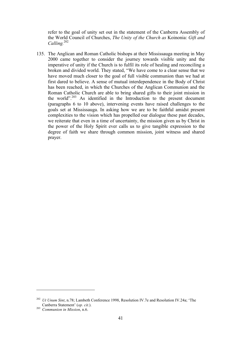refer to the goal of unity set out in the statement of the Canberra Assembly of the World Council of Churches, *The Unity of the Church as* Koinonia: *Gift and Calling.* 202

135. The Anglican and Roman Catholic bishops at their Mississauga meeting in May 2000 came together to consider the journey towards visible unity and the imperative of unity if the Church is to fulfil its role of healing and reconciling a broken and divided world. They stated, "We have come to a clear sense that we have moved much closer to the goal of full visible communion than we had at first dared to believe. A sense of mutual interdependence in the Body of Christ has been reached, in which the Churches of the Anglican Communion and the Roman Catholic Church are able to bring shared gifts to their joint mission in the world".<sup>203</sup> As identified in the Introduction to the present document (paragraphs 6 to 10 above), intervening events have raised challenges to the goals set at Mississauga. In asking how we are to be faithful amidst present complexities to the vision which has propelled our dialogue these past decades, we reiterate that even in a time of uncertainty, the mission given us by Christ in the power of the Holy Spirit ever calls us to give tangible expression to the degree of faith we share through common mission, joint witness and shared prayer.

<sup>202</sup> *Ut Unum Sint*, n.78; Lambeth Conference 1998, Resolution IV.7e and Resolution IV.24a; 'The Canberra Statement' (*op. cit.*). <sup>203</sup> *Communion in Mission*, n.6.